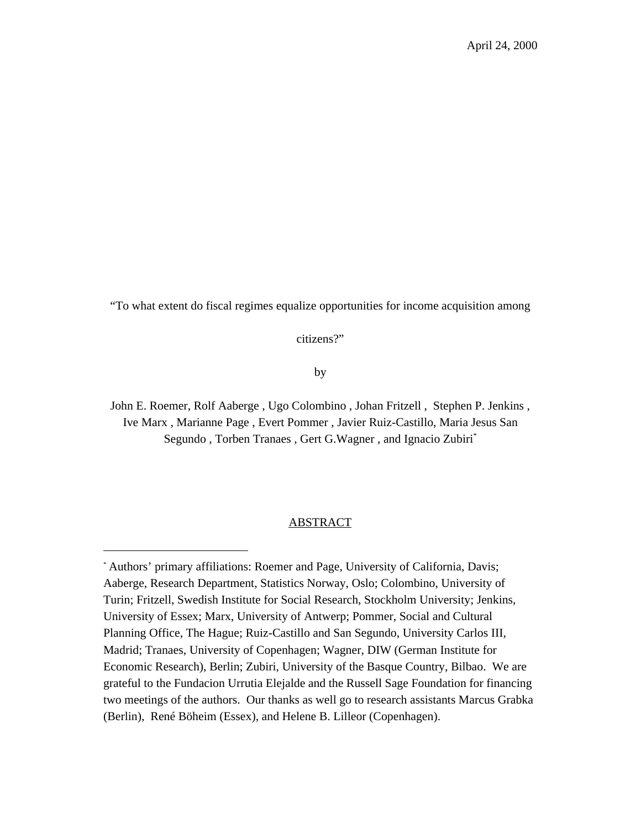"To what extent do fiscal regimes equalize opportunities for income acquisition among

citizens?"

by

John E. Roemer, Rolf Aaberge , Ugo Colombino , Johan Fritzell , Stephen P. Jenkins , Ive Marx , Marianne Page , Evert Pommer , Javier Ruiz-Castillo, Maria Jesus San Segundo, Torben Tranaes, Gert G.Wagner, and Ignacio Zubiri<sup>\*</sup>

## ABSTRACT

<sup>\*</sup> Authors' primary affiliations: Roemer and Page, University of California, Davis; Aaberge, Research Department, Statistics Norway, Oslo; Colombino, University of Turin; Fritzell, Swedish Institute for Social Research, Stockholm University; Jenkins, University of Essex; Marx, University of Antwerp; Pommer, Social and Cultural Planning Office, The Hague; Ruiz-Castillo and San Segundo, University Carlos III, Madrid; Tranaes, University of Copenhagen; Wagner, DIW (German Institute for Economic Research), Berlin; Zubiri, University of the Basque Country, Bilbao. We are grateful to the Fundacion Urrutia Elejalde and the Russell Sage Foundation for financing two meetings of the authors. Our thanks as well go to research assistants Marcus Grabka (Berlin), René Böheim (Essex), and Helene B. Lilleor (Copenhagen).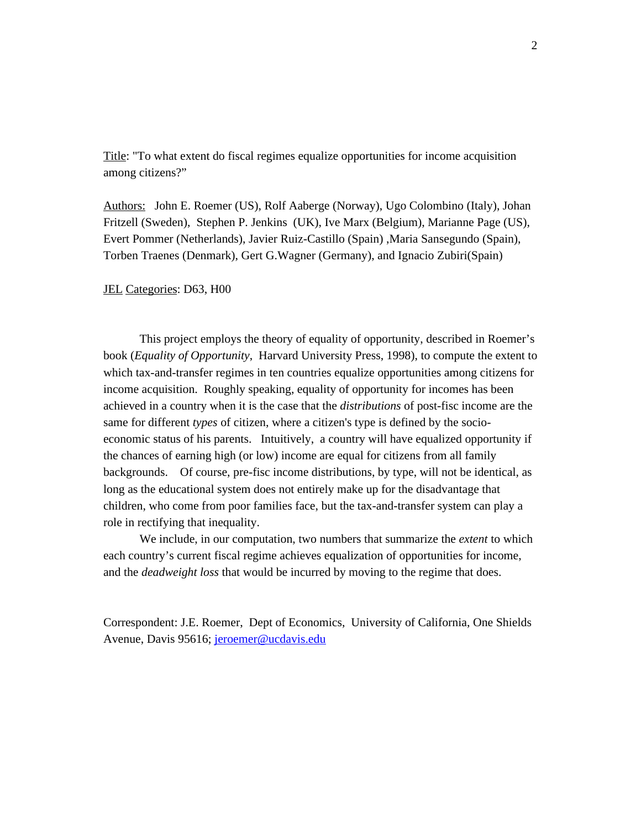Title: "To what extent do fiscal regimes equalize opportunities for income acquisition among citizens?"

Authors: John E. Roemer (US), Rolf Aaberge (Norway), Ugo Colombino (Italy), Johan Fritzell (Sweden), Stephen P. Jenkins (UK), Ive Marx (Belgium), Marianne Page (US), Evert Pommer (Netherlands), Javier Ruiz-Castillo (Spain) ,Maria Sansegundo (Spain), Torben Traenes (Denmark), Gert G.Wagner (Germany), and Ignacio Zubiri(Spain)

## JEL Categories: D63, H00

This project employs the theory of equality of opportunity, described in Roemer's book (*Equality of Opportunity*, Harvard University Press, 1998), to compute the extent to which tax-and-transfer regimes in ten countries equalize opportunities among citizens for income acquisition. Roughly speaking, equality of opportunity for incomes has been achieved in a country when it is the case that the *distributions* of post-fisc income are the same for different *types* of citizen, where a citizen's type is defined by the socioeconomic status of his parents. Intuitively, a country will have equalized opportunity if the chances of earning high (or low) income are equal for citizens from all family backgrounds. Of course, pre-fisc income distributions, by type, will not be identical, as long as the educational system does not entirely make up for the disadvantage that children, who come from poor families face, but the tax-and-transfer system can play a role in rectifying that inequality.

We include, in our computation, two numbers that summarize the *extent* to which each country's current fiscal regime achieves equalization of opportunities for income, and the *deadweight loss* that would be incurred by moving to the regime that does.

Correspondent: J.E. Roemer, Dept of Economics, University of California, One Shields Avenue, Davis 95616; jeroemer@ucdavis.edu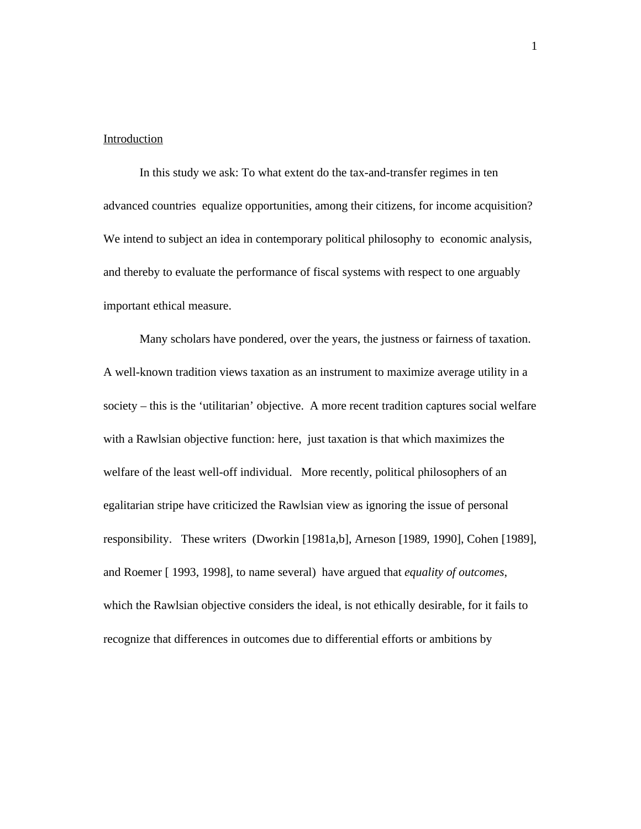## Introduction

In this study we ask: To what extent do the tax-and-transfer regimes in ten advanced countries equalize opportunities, among their citizens, for income acquisition? We intend to subject an idea in contemporary political philosophy to economic analysis, and thereby to evaluate the performance of fiscal systems with respect to one arguably important ethical measure.

Many scholars have pondered, over the years, the justness or fairness of taxation. A well-known tradition views taxation as an instrument to maximize average utility in a society – this is the 'utilitarian' objective. A more recent tradition captures social welfare with a Rawlsian objective function: here, just taxation is that which maximizes the welfare of the least well-off individual. More recently, political philosophers of an egalitarian stripe have criticized the Rawlsian view as ignoring the issue of personal responsibility. These writers (Dworkin [1981a,b], Arneson [1989, 1990], Cohen [1989], and Roemer [ 1993, 1998], to name several) have argued that *equality of outcomes*, which the Rawlsian objective considers the ideal, is not ethically desirable, for it fails to recognize that differences in outcomes due to differential efforts or ambitions by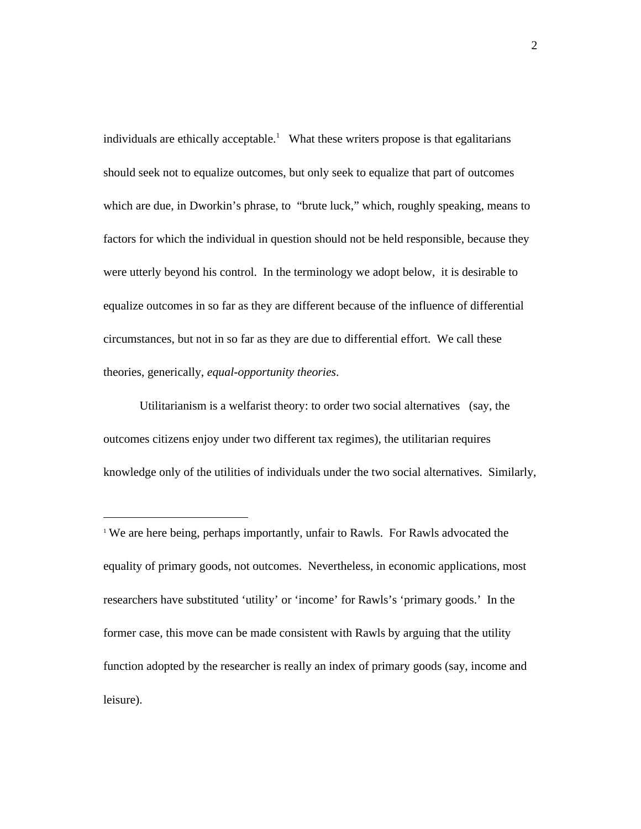individuals are ethically acceptable.<sup>1</sup> What these writers propose is that egalitarians should seek not to equalize outcomes, but only seek to equalize that part of outcomes which are due, in Dworkin's phrase, to "brute luck," which, roughly speaking, means to factors for which the individual in question should not be held responsible, because they were utterly beyond his control. In the terminology we adopt below, it is desirable to equalize outcomes in so far as they are different because of the influence of differential circumstances, but not in so far as they are due to differential effort. We call these theories, generically, *equal-opportunity theories*.

Utilitarianism is a welfarist theory: to order two social alternatives (say, the outcomes citizens enjoy under two different tax regimes), the utilitarian requires knowledge only of the utilities of individuals under the two social alternatives. Similarly,

 $\overline{a}$ 

<sup>1</sup> We are here being, perhaps importantly, unfair to Rawls. For Rawls advocated the equality of primary goods, not outcomes. Nevertheless, in economic applications, most researchers have substituted 'utility' or 'income' for Rawls's 'primary goods.' In the former case, this move can be made consistent with Rawls by arguing that the utility function adopted by the researcher is really an index of primary goods (say, income and leisure).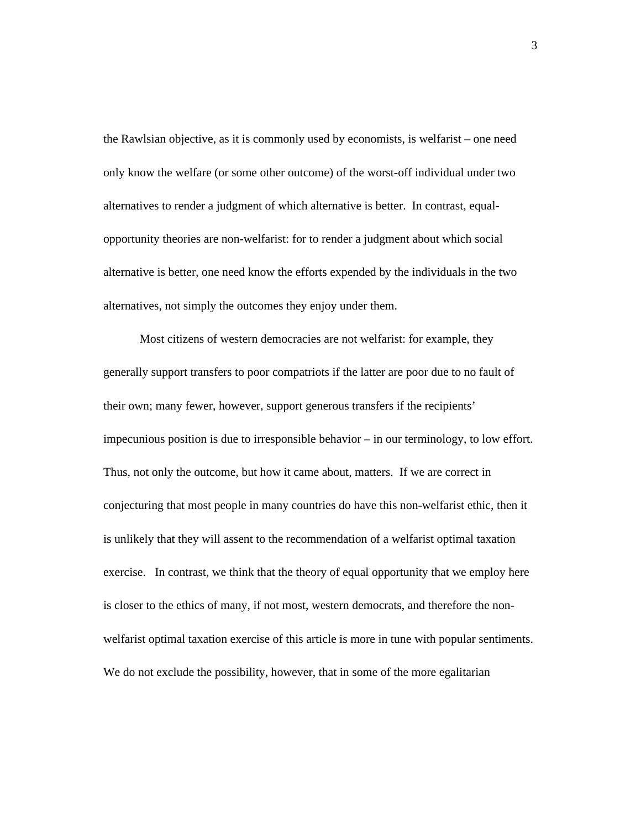the Rawlsian objective, as it is commonly used by economists, is welfarist – one need only know the welfare (or some other outcome) of the worst-off individual under two alternatives to render a judgment of which alternative is better. In contrast, equalopportunity theories are non-welfarist: for to render a judgment about which social alternative is better, one need know the efforts expended by the individuals in the two alternatives, not simply the outcomes they enjoy under them.

Most citizens of western democracies are not welfarist: for example, they generally support transfers to poor compatriots if the latter are poor due to no fault of their own; many fewer, however, support generous transfers if the recipients' impecunious position is due to irresponsible behavior – in our terminology, to low effort. Thus, not only the outcome, but how it came about, matters. If we are correct in conjecturing that most people in many countries do have this non-welfarist ethic, then it is unlikely that they will assent to the recommendation of a welfarist optimal taxation exercise. In contrast, we think that the theory of equal opportunity that we employ here is closer to the ethics of many, if not most, western democrats, and therefore the nonwelfarist optimal taxation exercise of this article is more in tune with popular sentiments. We do not exclude the possibility, however, that in some of the more egalitarian

3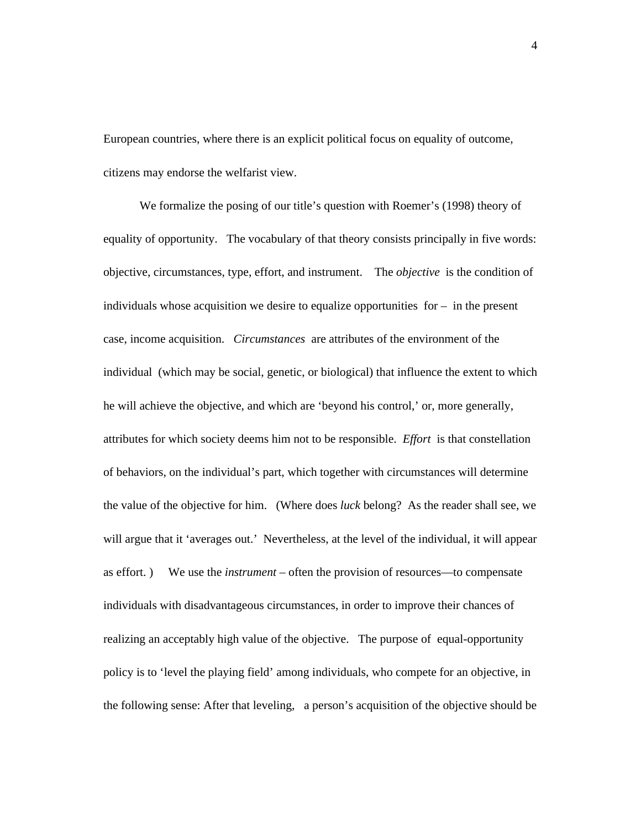European countries, where there is an explicit political focus on equality of outcome, citizens may endorse the welfarist view.

We formalize the posing of our title's question with Roemer's (1998) theory of equality of opportunity. The vocabulary of that theory consists principally in five words: objective, circumstances, type, effort, and instrument. The *objective* is the condition of individuals whose acquisition we desire to equalize opportunities for  $-$  in the present case, income acquisition. *Circumstances* are attributes of the environment of the individual (which may be social, genetic, or biological) that influence the extent to which he will achieve the objective, and which are 'beyond his control,' or, more generally, attributes for which society deems him not to be responsible. *Effort* is that constellation of behaviors, on the individual's part, which together with circumstances will determine the value of the objective for him. (Where does *luck* belong? As the reader shall see, we will argue that it 'averages out.' Nevertheless, at the level of the individual, it will appear as effort. ) We use the *instrument* – often the provision of resources—to compensate individuals with disadvantageous circumstances, in order to improve their chances of realizing an acceptably high value of the objective. The purpose of equal-opportunity policy is to 'level the playing field' among individuals, who compete for an objective, in the following sense: After that leveling, a person's acquisition of the objective should be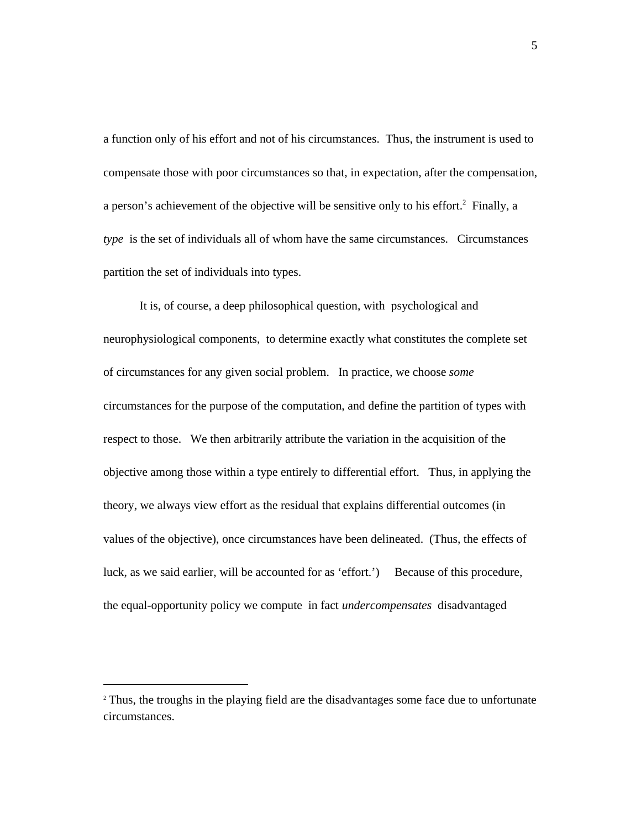a function only of his effort and not of his circumstances. Thus, the instrument is used to compensate those with poor circumstances so that, in expectation, after the compensation, a person's achievement of the objective will be sensitive only to his effort.<sup>2</sup> Finally, a *type* is the set of individuals all of whom have the same circumstances. Circumstances partition the set of individuals into types.

It is, of course, a deep philosophical question, with psychological and neurophysiological components, to determine exactly what constitutes the complete set of circumstances for any given social problem. In practice, we choose *some* circumstances for the purpose of the computation, and define the partition of types with respect to those. We then arbitrarily attribute the variation in the acquisition of the objective among those within a type entirely to differential effort. Thus, in applying the theory, we always view effort as the residual that explains differential outcomes (in values of the objective), once circumstances have been delineated. (Thus, the effects of luck, as we said earlier, will be accounted for as 'effort.') Because of this procedure, the equal-opportunity policy we compute in fact *undercompensates* disadvantaged

l

<sup>&</sup>lt;sup>2</sup> Thus, the troughs in the playing field are the disadvantages some face due to unfortunate circumstances.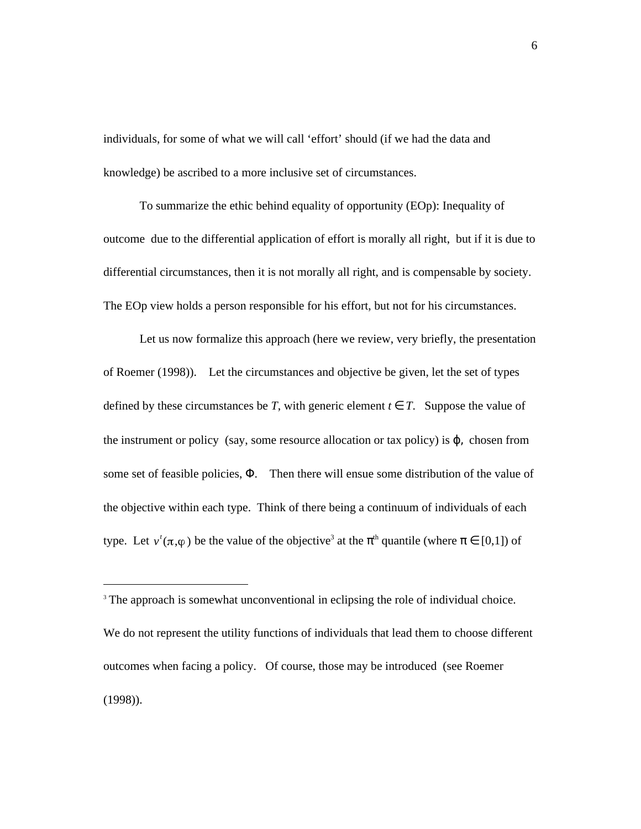individuals, for some of what we will call 'effort' should (if we had the data and knowledge) be ascribed to a more inclusive set of circumstances.

To summarize the ethic behind equality of opportunity (EOp): Inequality of outcome due to the differential application of effort is morally all right, but if it is due to differential circumstances, then it is not morally all right, and is compensable by society. The EOp view holds a person responsible for his effort, but not for his circumstances.

Let us now formalize this approach (here we review, very briefly, the presentation of Roemer (1998)). Let the circumstances and objective be given, let the set of types defined by these circumstances be *T*, with generic element *t T*. Suppose the value of the instrument or policy (say, some resource allocation or tax policy) is  $\mu$  chosen from some set of feasible policies, . Then there will ensue some distribution of the value of the objective within each type. Think of there being a continuum of individuals of each type. Let  $v'(\pi,\varphi)$  be the value of the objective<sup>3</sup> at the <sup>th</sup> quantile (where [0,1]) of

<sup>&</sup>lt;sup>3</sup> The approach is somewhat unconventional in eclipsing the role of individual choice.

We do not represent the utility functions of individuals that lead them to choose different outcomes when facing a policy. Of course, those may be introduced (see Roemer (1998)).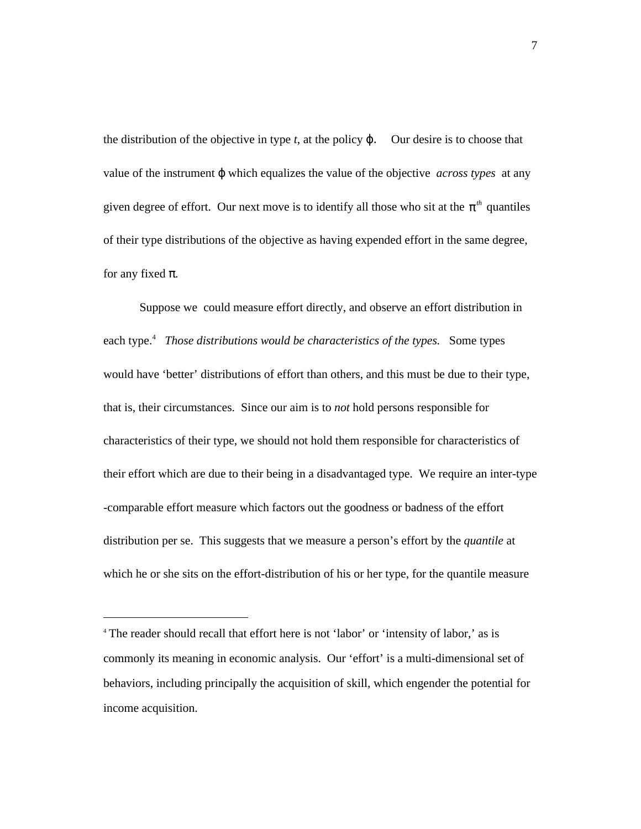the distribution of the objective in type  $t$ , at the policy  $\cdot$  Our desire is to choose that value of the instrument which equalizes the value of the objective *across types* at any given degree of effort. Our next move is to identify all those who sit at the *th* quantiles of their type distributions of the objective as having expended effort in the same degree, for any fixed .

Suppose we could measure effort directly, and observe an effort distribution in each type.<sup>4</sup> Those distributions would be characteristics of the types. Some types would have 'better' distributions of effort than others, and this must be due to their type, that is, their circumstances. Since our aim is to *not* hold persons responsible for characteristics of their type, we should not hold them responsible for characteristics of their effort which are due to their being in a disadvantaged type. We require an inter-type -comparable effort measure which factors out the goodness or badness of the effort distribution per se. This suggests that we measure a person's effort by the *quantile* at which he or she sits on the effort-distribution of his or her type, for the quantile measure

<sup>4</sup> The reader should recall that effort here is not 'labor' or 'intensity of labor,' as is commonly its meaning in economic analysis. Our 'effort' is a multi-dimensional set of behaviors, including principally the acquisition of skill, which engender the potential for income acquisition.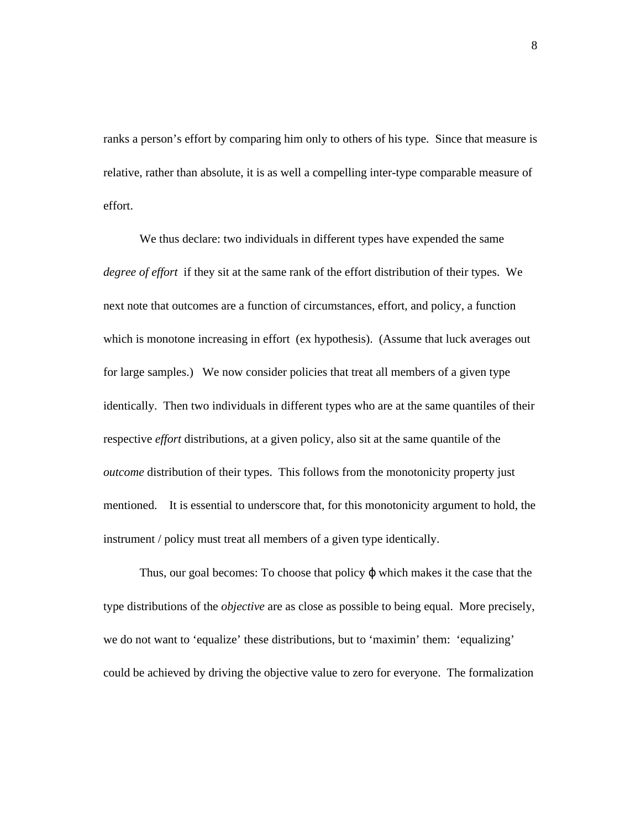ranks a person's effort by comparing him only to others of his type. Since that measure is relative, rather than absolute, it is as well a compelling inter-type comparable measure of effort.

We thus declare: two individuals in different types have expended the same *degree of effort* if they sit at the same rank of the effort distribution of their types. We next note that outcomes are a function of circumstances, effort, and policy, a function which is monotone increasing in effort (ex hypothesis). (Assume that luck averages out for large samples.) We now consider policies that treat all members of a given type identically. Then two individuals in different types who are at the same quantiles of their respective *effort* distributions, at a given policy, also sit at the same quantile of the *outcome* distribution of their types. This follows from the monotonicity property just mentioned. It is essential to underscore that, for this monotonicity argument to hold, the instrument / policy must treat all members of a given type identically.

Thus, our goal becomes: To choose that policy which makes it the case that the type distributions of the *objective* are as close as possible to being equal. More precisely, we do not want to 'equalize' these distributions, but to 'maximin' them: 'equalizing' could be achieved by driving the objective value to zero for everyone. The formalization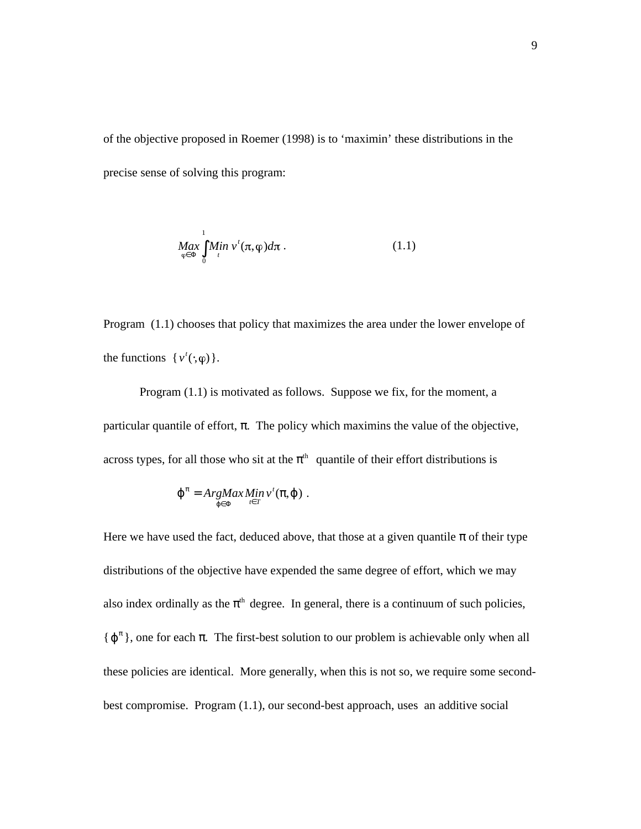of the objective proposed in Roemer (1998) is to 'maximin' these distributions in the precise sense of solving this program:

$$
\underset{\varphi}{Max} \underset{0}{Max} \underset{t}{Min} \, v^t(\pi, \varphi) d\pi \, . \tag{1.1}
$$

Program (1.1) chooses that policy that maximizes the area under the lower envelope of the functions  $\{v^t(,\varphi)\}.$ 

Program (1.1) is motivated as follows. Suppose we fix, for the moment, a particular quantile of effort, . The policy which maximins the value of the objective, across types, for all those who sit at the  $\theta$ <sup>th</sup> quantile of their effort distributions is

$$
= ArgMax\underset{t}{Min}\,v^{t}(\ ,\ )\ .
$$

Here we have used the fact, deduced above, that those at a given quantile of their type distributions of the objective have expended the same degree of effort, which we may also index ordinally as the  $\theta$ <sup>th</sup> degree. In general, there is a continuum of such policies, { }, one for each . The first-best solution to our problem is achievable only when all these policies are identical. More generally, when this is not so, we require some secondbest compromise. Program (1.1), our second-best approach, uses an additive social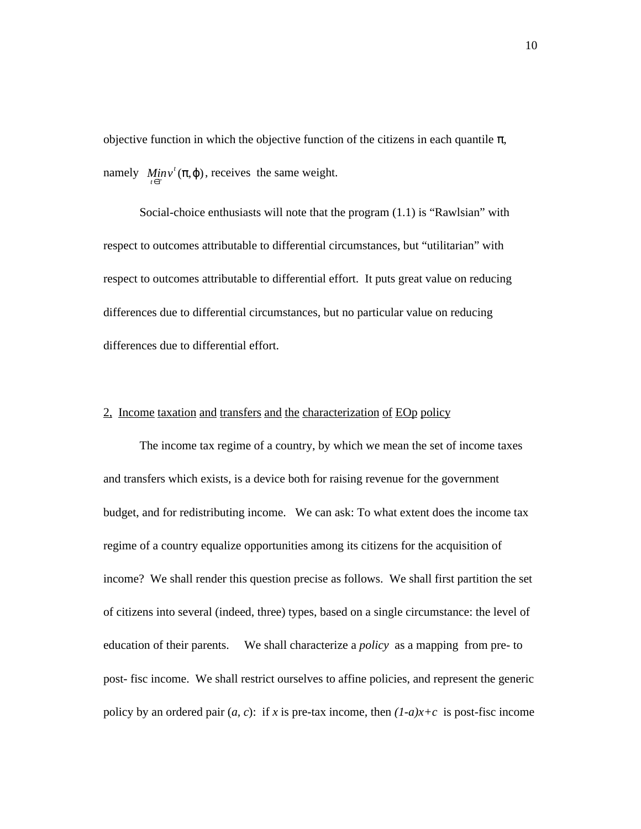objective function in which the objective function of the citizens in each quantile , namely  $Min v^t($ ,  $)$ , receives the same weight.

Social-choice enthusiasts will note that the program (1.1) is "Rawlsian" with respect to outcomes attributable to differential circumstances, but "utilitarian" with respect to outcomes attributable to differential effort. It puts great value on reducing differences due to differential circumstances, but no particular value on reducing differences due to differential effort.

## 2, Income taxation and transfers and the characterization of EOp policy

The income tax regime of a country, by which we mean the set of income taxes and transfers which exists, is a device both for raising revenue for the government budget, and for redistributing income. We can ask: To what extent does the income tax regime of a country equalize opportunities among its citizens for the acquisition of income? We shall render this question precise as follows. We shall first partition the set of citizens into several (indeed, three) types, based on a single circumstance: the level of education of their parents. We shall characterize a *policy* as a mapping from pre- to post- fisc income. We shall restrict ourselves to affine policies, and represent the generic policy by an ordered pair  $(a, c)$ : if *x* is pre-tax income, then  $(1-a)x+c$  is post-fisc income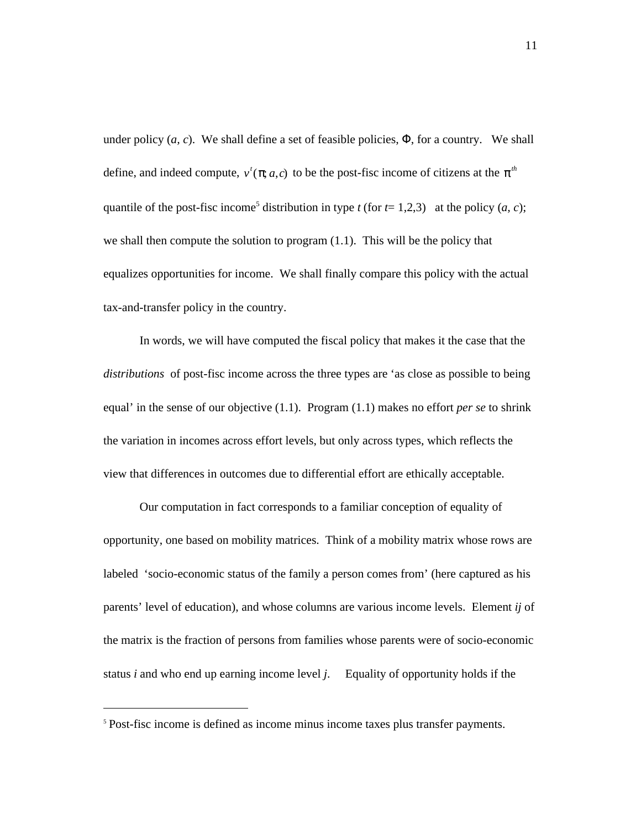under policy  $(a, c)$ . We shall define a set of feasible policies, , for a country. We shall define, and indeed compute,  $v'$  (; *a*,*c*) to be the post-fisc income of citizens at the  $h$ quantile of the post-fisc income<sup>5</sup> distribution in type *t* (for  $t=1,2,3$ ) at the policy  $(a, c)$ ; we shall then compute the solution to program (1.1). This will be the policy that equalizes opportunities for income. We shall finally compare this policy with the actual tax-and-transfer policy in the country.

In words, we will have computed the fiscal policy that makes it the case that the *distributions* of post-fisc income across the three types are 'as close as possible to being equal' in the sense of our objective (1.1). Program (1.1) makes no effort *per se* to shrink the variation in incomes across effort levels, but only across types, which reflects the view that differences in outcomes due to differential effort are ethically acceptable.

Our computation in fact corresponds to a familiar conception of equality of opportunity, one based on mobility matrices. Think of a mobility matrix whose rows are labeled 'socio-economic status of the family a person comes from' (here captured as his parents' level of education), and whose columns are various income levels. Element *ij* of the matrix is the fraction of persons from families whose parents were of socio-economic status *i* and who end up earning income level *j*. Equality of opportunity holds if the

<sup>5</sup> Post-fisc income is defined as income minus income taxes plus transfer payments.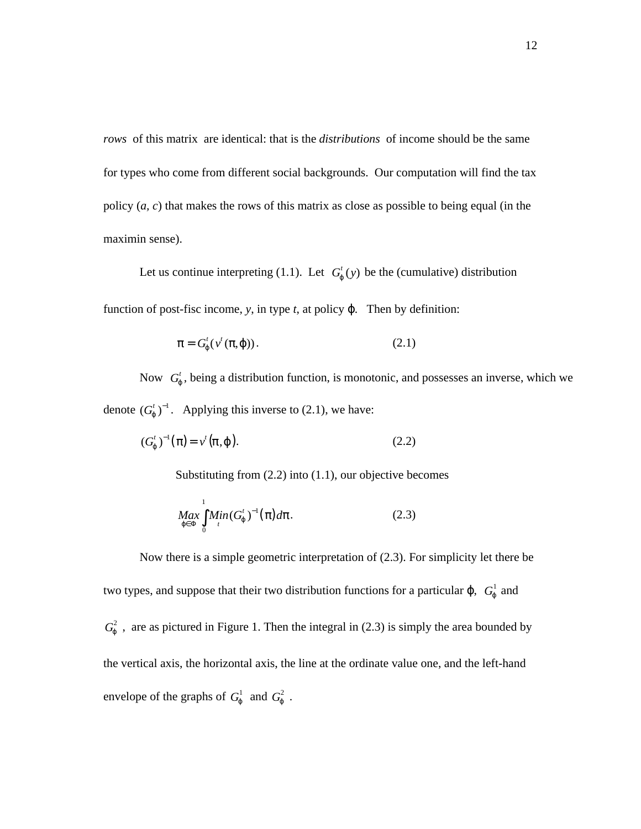*rows* of this matrix are identical: that is the *distributions* of income should be the same for types who come from different social backgrounds. Our computation will find the tax policy (*a, c*) that makes the rows of this matrix as close as possible to being equal (in the maximin sense).

Let us continue interpreting (1.1). Let  $G'(y)$  be the (cumulative) distribution function of post-fisc income, *y*, in type *t*, at policy . Then by definition:

$$
=G^{t}(v^{t}(\ ,\ ))\tag{2.1}
$$

Now  $G<sup>t</sup>$ , being a distribution function, is monotonic, and possesses an inverse, which we denote  $(G<sup>t</sup>)<sup>-1</sup>$ . Applying this inverse to (2.1), we have:

$$
(Gt)-1( ) = vt( , ). \t(2.2)
$$

Substituting from (2.2) into (1.1), our objective becomes

$$
\underset{0}{\text{Max}} \underset{t}{\text{Min}} (G^t)^{-1} \left( \begin{array}{c} 1 \end{array} \right) d \quad . \tag{2.3}
$$

Now there is a simple geometric interpretation of (2.3). For simplicity let there be two types, and suppose that their two distribution functions for a particular  $\,$  ,  $\,G<sup>1</sup>$  and  $G<sup>2</sup>$ , are as pictured in Figure 1. Then the integral in (2.3) is simply the area bounded by the vertical axis, the horizontal axis, the line at the ordinate value one, and the left-hand envelope of the graphs of  $G^1$  and  $G^2$ .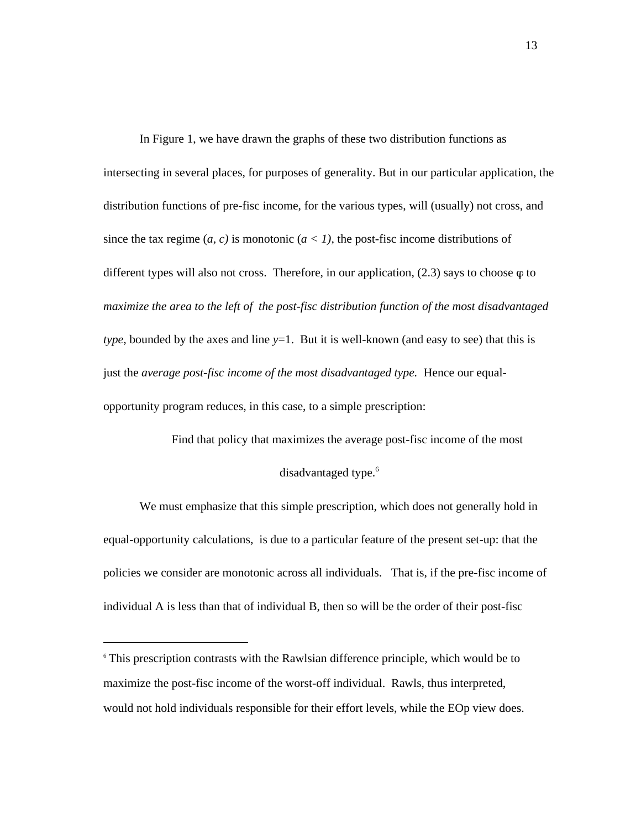In Figure 1, we have drawn the graphs of these two distribution functions as intersecting in several places, for purposes of generality. But in our particular application, the distribution functions of pre-fisc income, for the various types, will (usually) not cross, and since the tax regime  $(a, c)$  is monotonic  $(a < 1)$ , the post-fisc income distributions of different types will also not cross. Therefore, in our application,  $(2.3)$  says to choose  $\varphi$  to *maximize the area to the left of the post-fisc distribution function of the most disadvantaged type*, bounded by the axes and line *y*=1. But it is well-known (and easy to see) that this is just the *average post-fisc income of the most disadvantaged type.* Hence our equalopportunity program reduces, in this case, to a simple prescription:

> Find that policy that maximizes the average post-fisc income of the most disadvantaged type.<sup>6</sup>

We must emphasize that this simple prescription, which does not generally hold in equal-opportunity calculations, is due to a particular feature of the present set-up: that the policies we consider are monotonic across all individuals. That is, if the pre-fisc income of individual A is less than that of individual B, then so will be the order of their post-fisc

 $\overline{a}$ 

<sup>6</sup> This prescription contrasts with the Rawlsian difference principle, which would be to maximize the post-fisc income of the worst-off individual. Rawls, thus interpreted, would not hold individuals responsible for their effort levels, while the EOp view does.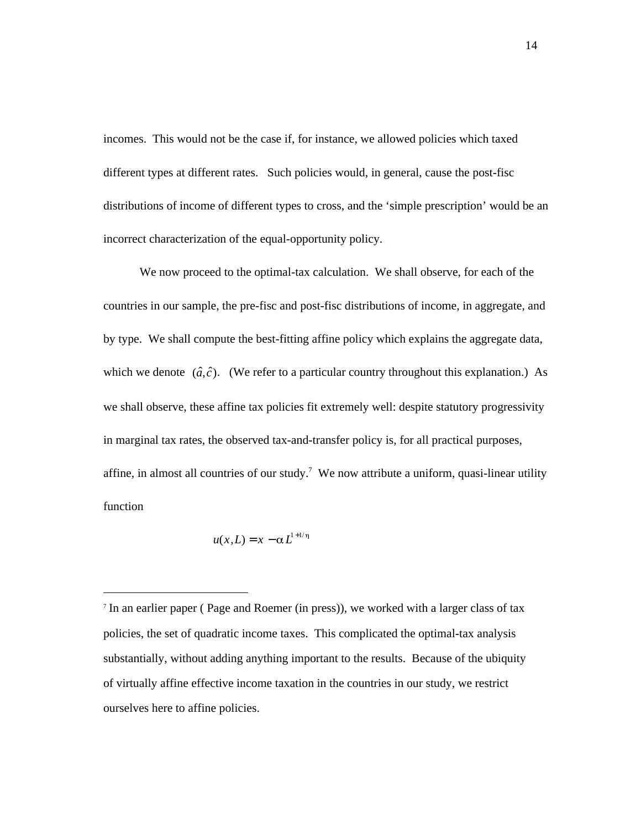incomes. This would not be the case if, for instance, we allowed policies which taxed different types at different rates. Such policies would, in general, cause the post-fisc distributions of income of different types to cross, and the 'simple prescription' would be an incorrect characterization of the equal-opportunity policy.

We now proceed to the optimal-tax calculation. We shall observe, for each of the countries in our sample, the pre-fisc and post-fisc distributions of income, in aggregate, and by type. We shall compute the best-fitting affine policy which explains the aggregate data, which we denote  $(\hat{a}, \hat{c})$ . (We refer to a particular country throughout this explanation.) As we shall observe, these affine tax policies fit extremely well: despite statutory progressivity in marginal tax rates, the observed tax-and-transfer policy is, for all practical purposes, affine, in almost all countries of our study.<sup>7</sup> We now attribute a uniform, quasi-linear utility function

$$
u(x,L) = x - \alpha L^{1+1/\eta}
$$

7 In an earlier paper ( Page and Roemer (in press)), we worked with a larger class of tax policies, the set of quadratic income taxes. This complicated the optimal-tax analysis substantially, without adding anything important to the results. Because of the ubiquity of virtually affine effective income taxation in the countries in our study, we restrict ourselves here to affine policies.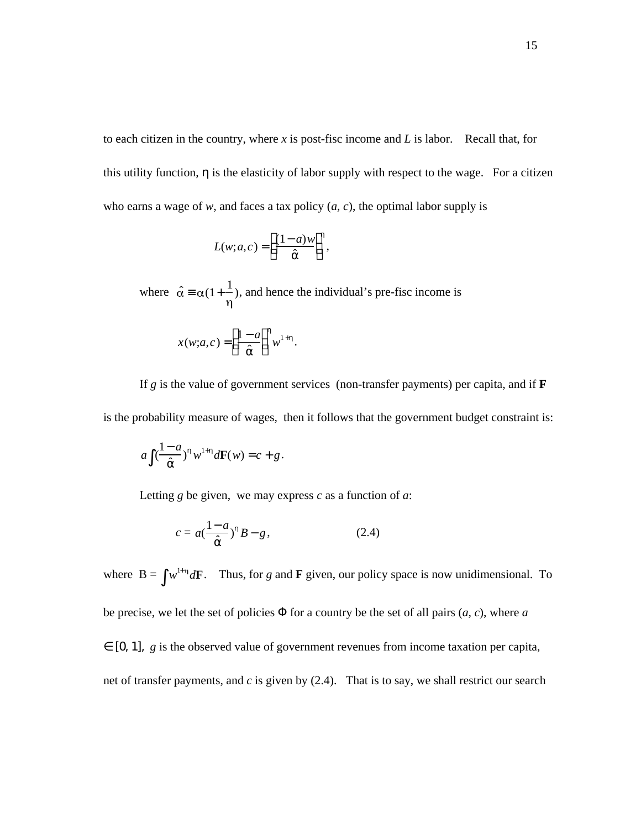to each citizen in the country, where *x* is post-fisc income and *L* is labor. Recall that, for this utility function, is the elasticity of labor supply with respect to the wage. For a citizen who earns a wage of *w*, and faces a tax policy  $(a, c)$ , the optimal labor supply is

$$
L(w;a,c) = \frac{(1-a)w}{\lambda},
$$

where  $\hat{\alpha}$   $\alpha(1+\frac{1}{\alpha})$ , and hence the individual's pre-fisc income is  $x(w;a,c) = \frac{1-a}{\lambda}$  $\hat{a}$  $\overline{1}$  $\overline{a}$  $w^{1+}$ .

If  $g$  is the value of government services (non-transfer payments) per capita, and if  $\bf{F}$ is the probability measure of wages, then it follows that the government budget constraint is:

$$
a\left(\frac{1-a}{2}\right) w^{1+} dF(w) = c + g.
$$

Letting *g* be given, we may express *c* as a function of *a*:

$$
c = a\left(\frac{1-a}{2}\right) B - g, \tag{2.4}
$$

where  $B = w^{1+\eta} dF$ . Thus, for *g* and **F** given, our policy space is now unidimensional. To be precise, we let the set of policies for a country be the set of all pairs  $(a, c)$ , where  $a$ [O, 1], *g* is the observed value of government revenues from income taxation per capita, net of transfer payments, and *c* is given by (2.4). That is to say, we shall restrict our search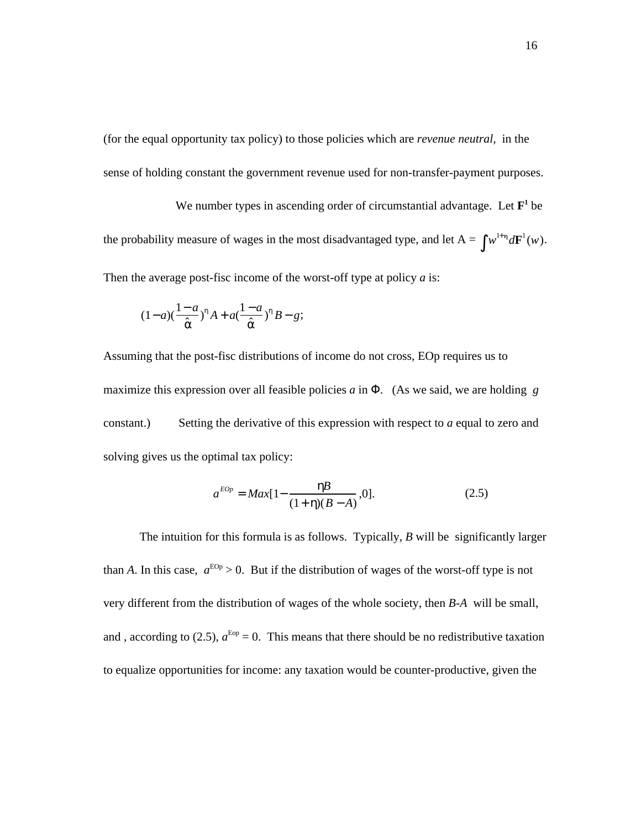(for the equal opportunity tax policy) to those policies which are *revenue neutral,* in the sense of holding constant the government revenue used for non-transfer-payment purposes.

We number types in ascending order of circumstantial advantage. Let  $\mathbf{F}^1$  be the probability measure of wages in the most disadvantaged type, and let  $A = w^{1+\eta} d\mathbf{F}^1(w)$ . Then the average post-fisc income of the worst-off type at policy *a* is:

$$
(1-a)(\frac{1-a}{\lambda}) A + a(\frac{1-a}{\lambda}) B - g;
$$

Assuming that the post-fisc distributions of income do not cross, EOp requires us to maximize this expression over all feasible policies *a* in . (As we said, we are holding *g* constant.) Setting the derivative of this expression with respect to *a* equal to zero and solving gives us the optimal tax policy:

$$
a^{EOp} = Max[1 - \frac{B}{(1 + \cdot)(B - A)}, 0].
$$
 (2.5)

The intuition for this formula is as follows. Typically, *B* will be significantly larger than *A*. In this case,  $a^{EOP} > 0$ . But if the distribution of wages of the worst-off type is not very different from the distribution of wages of the whole society, then *B-A* will be small, and, according to (2.5),  $a^{\text{Eop}} = 0$ . This means that there should be no redistributive taxation to equalize opportunities for income: any taxation would be counter-productive, given the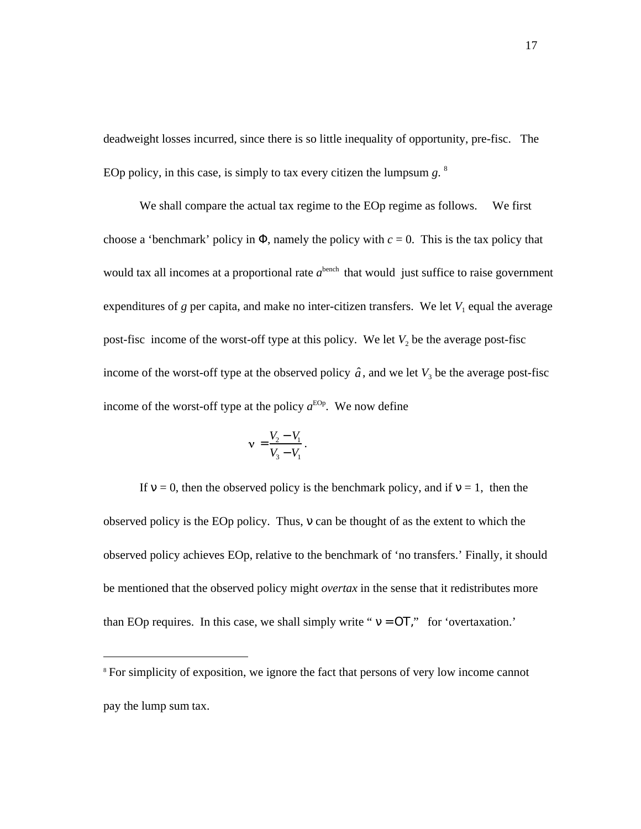deadweight losses incurred, since there is so little inequality of opportunity, pre-fisc. The EOp policy, in this case, is simply to tax every citizen the lumpsum *g*. 8

We shall compare the actual tax regime to the EOp regime as follows. We first choose a 'benchmark' policy in , namely the policy with  $c = 0$ . This is the tax policy that would tax all incomes at a proportional rate  $a<sup>bench</sup>$  that would just suffice to raise government expenditures of  $g$  per capita, and make no inter-citizen transfers. We let  $V_1$  equal the average post-fisc income of the worst-off type at this policy. We let  $V_2$  be the average post-fisc income of the worst-off type at the observed policy  $\hat{a}$ , and we let  $V_3$  be the average post-fisc income of the worst-off type at the policy  $a^{EOp}$ . We now define

$$
\mathbf{v} = \frac{V_2 - V_1}{V_3 - V_1}
$$

.

If  $= 0$ , then the observed policy is the benchmark policy, and if  $= 1$ , then the observed policy is the EOp policy. Thus, can be thought of as the extent to which the observed policy achieves EOp, relative to the benchmark of 'no transfers.' Finally, it should be mentioned that the observed policy might *overtax* in the sense that it redistributes more than EOp requires. In this case, we shall simply write " $=$ , " for 'overtaxation.'

<sup>&</sup>lt;sup>8</sup> For simplicity of exposition, we ignore the fact that persons of very low income cannot pay the lump sum tax.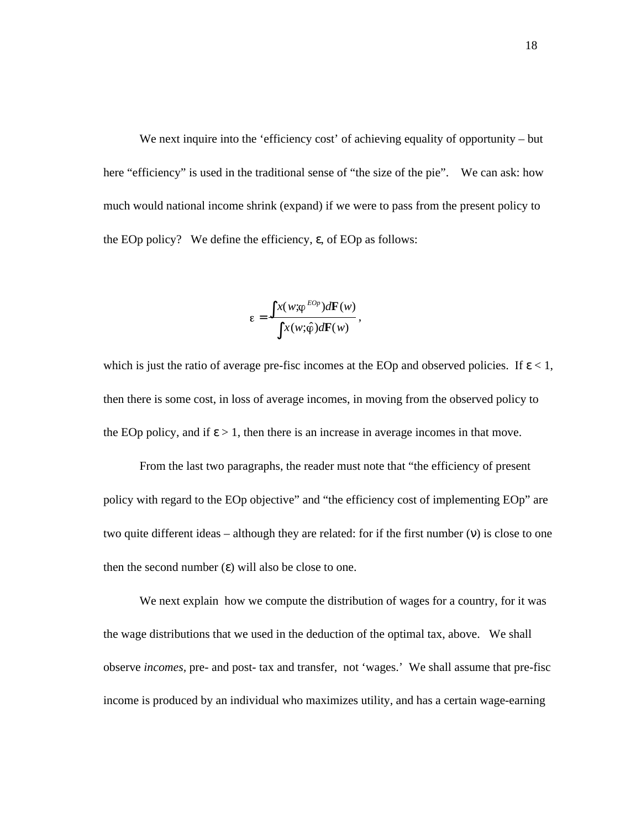We next inquire into the 'efficiency cost' of achieving equality of opportunity – but here "efficiency" is used in the traditional sense of "the size of the pie". We can ask: how much would national income shrink (expand) if we were to pass from the present policy to the EOp policy? We define the efficiency, , of EOp as follows:

$$
\varepsilon = \frac{x(w; \varphi^{EOp})d\mathbf{F}(w)}{x(w; \hat{\varphi})d\mathbf{F}(w)},
$$

which is just the ratio of average pre-fisc incomes at the EOp and observed policies. If  $\langle 1, \rangle$ then there is some cost, in loss of average incomes, in moving from the observed policy to the EOp policy, and if  $\geq 1$ , then there is an increase in average incomes in that move.

From the last two paragraphs, the reader must note that "the efficiency of present policy with regard to the EOp objective" and "the efficiency cost of implementing EOp" are two quite different ideas – although they are related: for if the first number ( ) is close to one then the second number ( ) will also be close to one.

We next explain how we compute the distribution of wages for a country, for it was the wage distributions that we used in the deduction of the optimal tax, above. We shall observe *incomes,* pre- and post- tax and transfer, not 'wages.' We shall assume that pre-fisc income is produced by an individual who maximizes utility, and has a certain wage-earning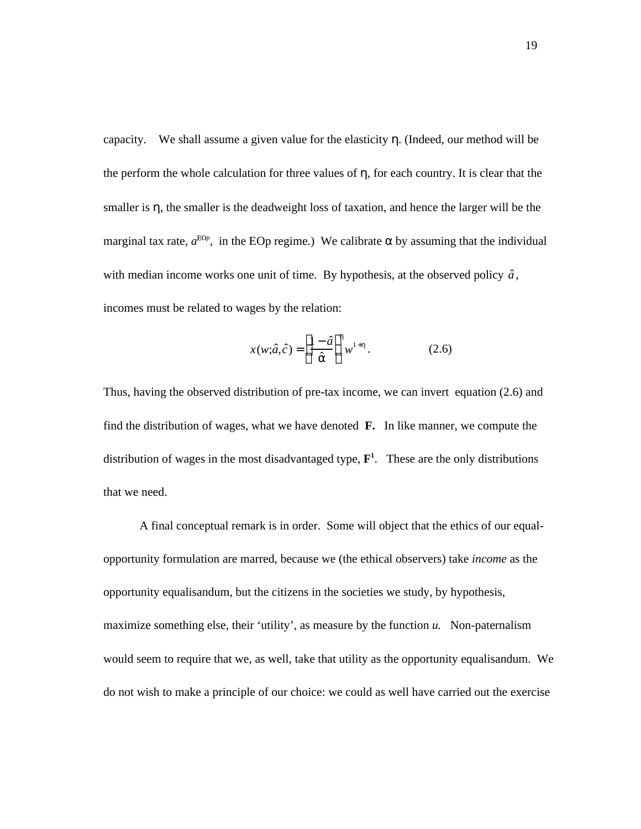capacity. We shall assume a given value for the elasticity . (Indeed, our method will be the perform the whole calculation for three values of , for each country. It is clear that the smaller is , the smaller is the deadweight loss of taxation, and hence the larger will be the marginal tax rate,  $a^{EOp}$ , in the EOp regime.) We calibrate by assuming that the individual with median income works one unit of time. By hypothesis, at the observed policy  $\hat{a}$ , incomes must be related to wages by the relation:

$$
x(w; \hat{a}, \hat{c}) = \frac{1 - \hat{a}}{2w^{1+}} w^{1+} .
$$
 (2.6)

Thus, having the observed distribution of pre-tax income, we can invert equation (2.6) and find the distribution of wages, what we have denoted **F.** In like manner, we compute the distribution of wages in the most disadvantaged type, **F 1** . These are the only distributions that we need.

A final conceptual remark is in order. Some will object that the ethics of our equalopportunity formulation are marred, because we (the ethical observers) take *income* as the opportunity equalisandum, but the citizens in the societies we study, by hypothesis, maximize something else, their 'utility', as measure by the function *u*. Non-paternalism would seem to require that we, as well, take that utility as the opportunity equalisandum. We do not wish to make a principle of our choice: we could as well have carried out the exercise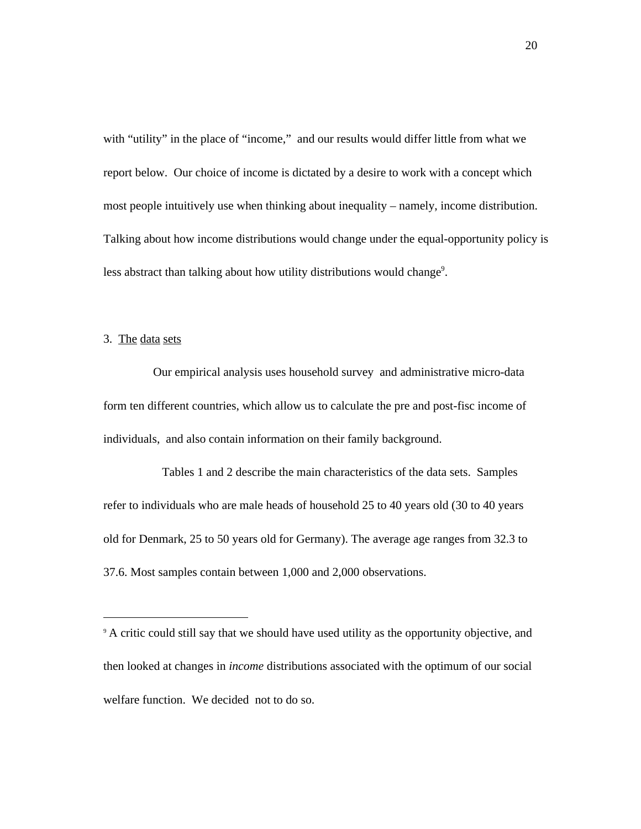with "utility" in the place of "income," and our results would differ little from what we report below. Our choice of income is dictated by a desire to work with a concept which most people intuitively use when thinking about inequality – namely, income distribution. Talking about how income distributions would change under the equal-opportunity policy is less abstract than talking about how utility distributions would change<sup>9</sup>.

3. The data sets

Our empirical analysis uses household survey and administrative micro-data form ten different countries, which allow us to calculate the pre and post-fisc income of individuals, and also contain information on their family background.

Tables 1 and 2 describe the main characteristics of the data sets. Samples refer to individuals who are male heads of household 25 to 40 years old (30 to 40 years old for Denmark, 25 to 50 years old for Germany). The average age ranges from 32.3 to 37.6. Most samples contain between 1,000 and 2,000 observations.

<sup>&</sup>lt;sup>9</sup> A critic could still say that we should have used utility as the opportunity objective, and then looked at changes in *income* distributions associated with the optimum of our social welfare function. We decided not to do so.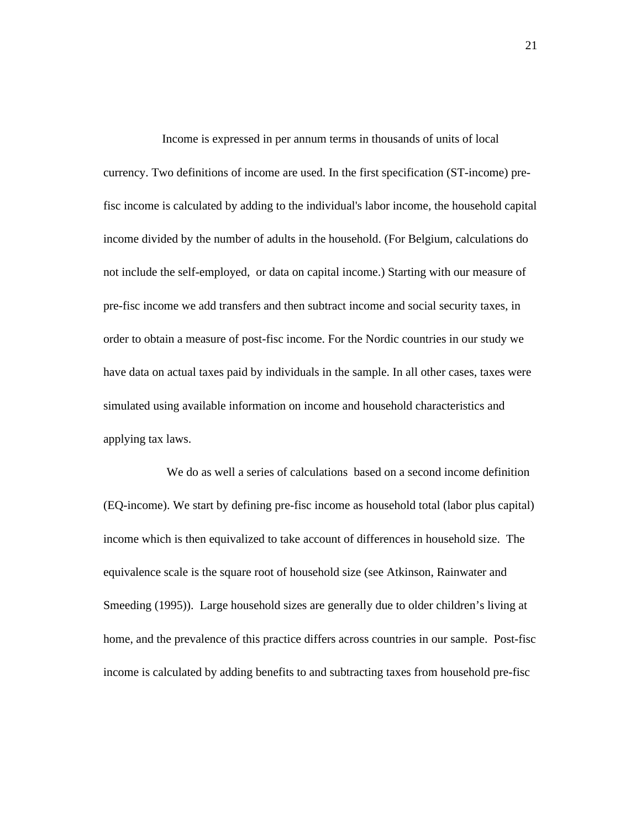Income is expressed in per annum terms in thousands of units of local currency. Two definitions of income are used. In the first specification (ST-income) prefisc income is calculated by adding to the individual's labor income, the household capital income divided by the number of adults in the household. (For Belgium, calculations do not include the self-employed, or data on capital income.) Starting with our measure of pre-fisc income we add transfers and then subtract income and social security taxes, in order to obtain a measure of post-fisc income. For the Nordic countries in our study we have data on actual taxes paid by individuals in the sample. In all other cases, taxes were simulated using available information on income and household characteristics and applying tax laws.

We do as well a series of calculations based on a second income definition (EQ-income). We start by defining pre-fisc income as household total (labor plus capital) income which is then equivalized to take account of differences in household size. The equivalence scale is the square root of household size (see Atkinson, Rainwater and Smeeding (1995)). Large household sizes are generally due to older children's living at home, and the prevalence of this practice differs across countries in our sample. Post-fisc income is calculated by adding benefits to and subtracting taxes from household pre-fisc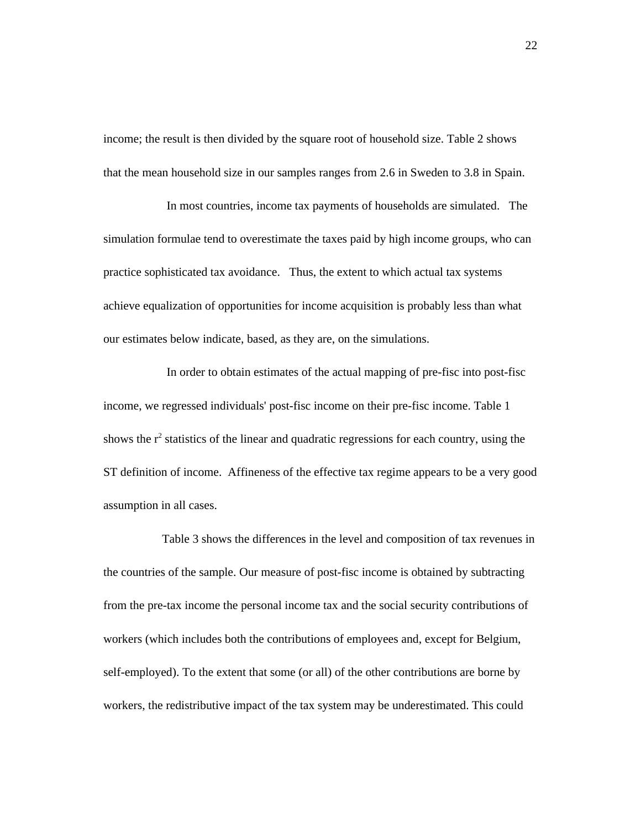income; the result is then divided by the square root of household size. Table 2 shows that the mean household size in our samples ranges from 2.6 in Sweden to 3.8 in Spain.

In most countries, income tax payments of households are simulated. The simulation formulae tend to overestimate the taxes paid by high income groups, who can practice sophisticated tax avoidance. Thus, the extent to which actual tax systems achieve equalization of opportunities for income acquisition is probably less than what our estimates below indicate, based, as they are, on the simulations.

In order to obtain estimates of the actual mapping of pre-fisc into post-fisc income, we regressed individuals' post-fisc income on their pre-fisc income. Table 1 shows the  $r^2$  statistics of the linear and quadratic regressions for each country, using the ST definition of income. Affineness of the effective tax regime appears to be a very good assumption in all cases.

Table 3 shows the differences in the level and composition of tax revenues in the countries of the sample. Our measure of post-fisc income is obtained by subtracting from the pre-tax income the personal income tax and the social security contributions of workers (which includes both the contributions of employees and, except for Belgium, self-employed). To the extent that some (or all) of the other contributions are borne by workers, the redistributive impact of the tax system may be underestimated. This could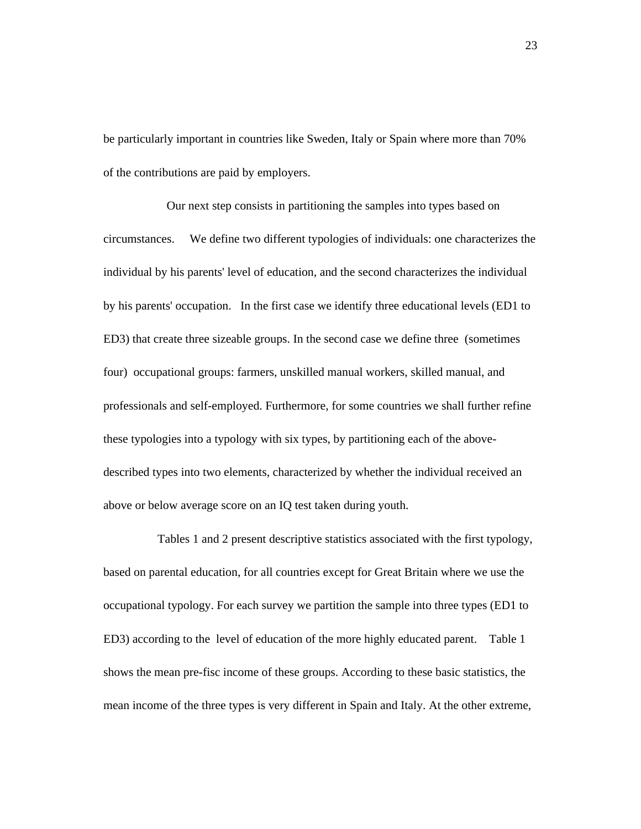be particularly important in countries like Sweden, Italy or Spain where more than 70% of the contributions are paid by employers.

Our next step consists in partitioning the samples into types based on circumstances. We define two different typologies of individuals: one characterizes the individual by his parents' level of education, and the second characterizes the individual by his parents' occupation. In the first case we identify three educational levels (ED1 to ED3) that create three sizeable groups. In the second case we define three (sometimes four) occupational groups: farmers, unskilled manual workers, skilled manual, and professionals and self-employed. Furthermore, for some countries we shall further refine these typologies into a typology with six types, by partitioning each of the abovedescribed types into two elements, characterized by whether the individual received an above or below average score on an IQ test taken during youth.

Tables 1 and 2 present descriptive statistics associated with the first typology, based on parental education, for all countries except for Great Britain where we use the occupational typology. For each survey we partition the sample into three types (ED1 to ED3) according to the level of education of the more highly educated parent. Table 1 shows the mean pre-fisc income of these groups. According to these basic statistics, the mean income of the three types is very different in Spain and Italy. At the other extreme,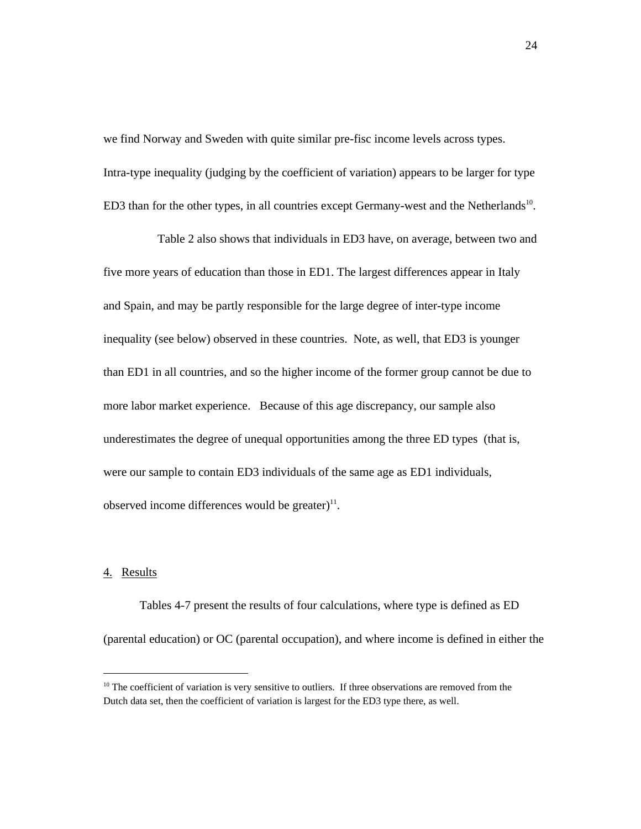we find Norway and Sweden with quite similar pre-fisc income levels across types. Intra-type inequality (judging by the coefficient of variation) appears to be larger for type ED3 than for the other types, in all countries except Germany-west and the Netherlands<sup>10</sup>.

Table 2 also shows that individuals in ED3 have, on average, between two and five more years of education than those in ED1. The largest differences appear in Italy and Spain, and may be partly responsible for the large degree of inter-type income inequality (see below) observed in these countries. Note, as well, that ED3 is younger than ED1 in all countries, and so the higher income of the former group cannot be due to more labor market experience. Because of this age discrepancy, our sample also underestimates the degree of unequal opportunities among the three ED types (that is, were our sample to contain ED3 individuals of the same age as ED1 individuals, observed income differences would be greater) $11$ .

# 4. Results

Tables 4-7 present the results of four calculations, where type is defined as ED (parental education) or OC (parental occupation), and where income is defined in either the

<sup>&</sup>lt;sup>10</sup> The coefficient of variation is very sensitive to outliers. If three observations are removed from the Dutch data set, then the coefficient of variation is largest for the ED3 type there, as well.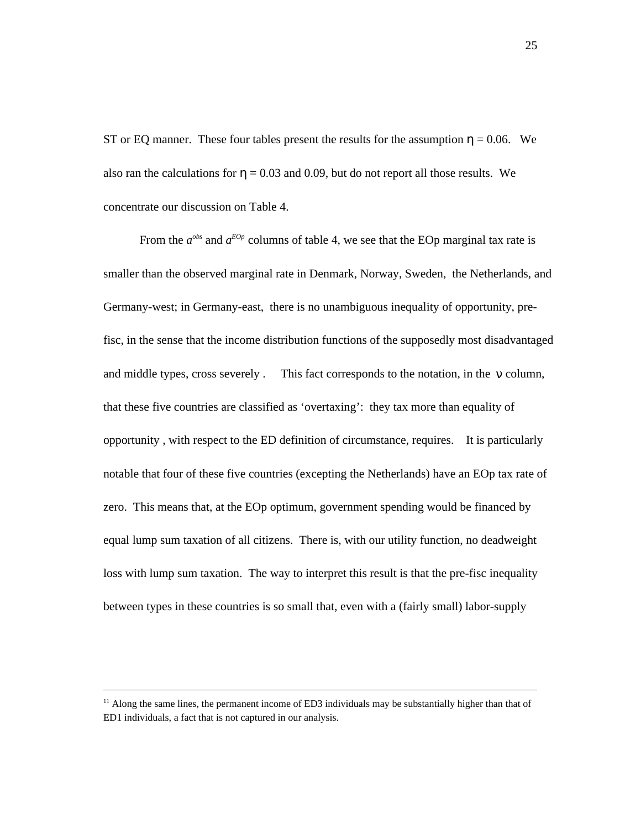ST or EQ manner. These four tables present the results for the assumption  $= 0.06$ . We also ran the calculations for  $= 0.03$  and 0.09, but do not report all those results. We concentrate our discussion on Table 4.

From the  $a^{obs}$  and  $a^{EOp}$  columns of table 4, we see that the EOp marginal tax rate is smaller than the observed marginal rate in Denmark, Norway, Sweden, the Netherlands, and Germany-west; in Germany-east, there is no unambiguous inequality of opportunity, prefisc, in the sense that the income distribution functions of the supposedly most disadvantaged and middle types, cross severely . This fact corresponds to the notation, in the column, that these five countries are classified as 'overtaxing': they tax more than equality of opportunity , with respect to the ED definition of circumstance, requires. It is particularly notable that four of these five countries (excepting the Netherlands) have an EOp tax rate of zero. This means that, at the EOp optimum, government spending would be financed by equal lump sum taxation of all citizens. There is, with our utility function, no deadweight loss with lump sum taxation. The way to interpret this result is that the pre-fisc inequality between types in these countries is so small that, even with a (fairly small) labor-supply

l

 $11$  Along the same lines, the permanent income of ED3 individuals may be substantially higher than that of ED1 individuals, a fact that is not captured in our analysis.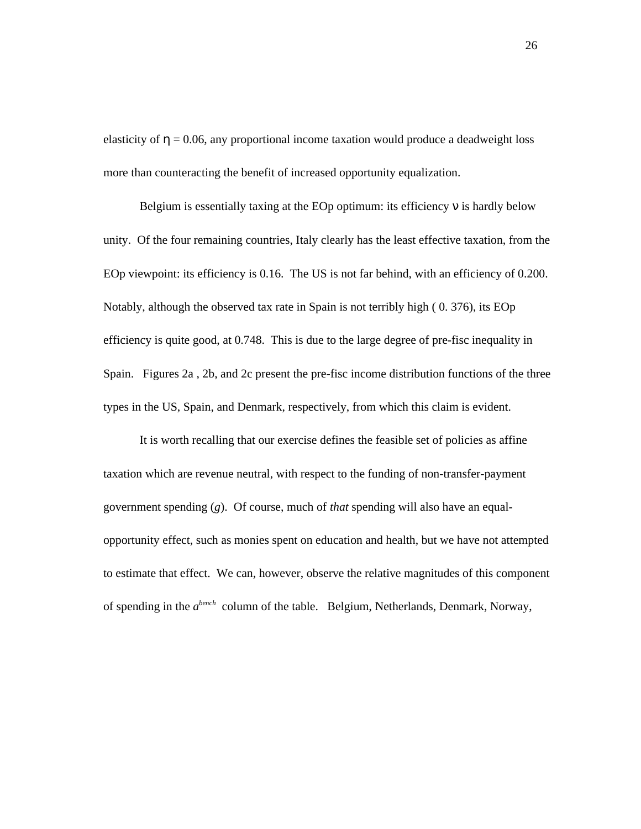elasticity of  $= 0.06$ , any proportional income taxation would produce a deadweight loss more than counteracting the benefit of increased opportunity equalization.

Belgium is essentially taxing at the EOp optimum: its efficiency is hardly below unity. Of the four remaining countries, Italy clearly has the least effective taxation, from the EOp viewpoint: its efficiency is 0.16. The US is not far behind, with an efficiency of 0.200. Notably, although the observed tax rate in Spain is not terribly high ( 0. 376), its EOp efficiency is quite good, at 0.748. This is due to the large degree of pre-fisc inequality in Spain. Figures 2a , 2b, and 2c present the pre-fisc income distribution functions of the three types in the US, Spain, and Denmark, respectively, from which this claim is evident.

It is worth recalling that our exercise defines the feasible set of policies as affine taxation which are revenue neutral, with respect to the funding of non-transfer-payment government spending (*g*). Of course, much of *that* spending will also have an equalopportunity effect, such as monies spent on education and health, but we have not attempted to estimate that effect. We can, however, observe the relative magnitudes of this component of spending in the *a*<sup>bench</sup> column of the table. Belgium, Netherlands, Denmark, Norway,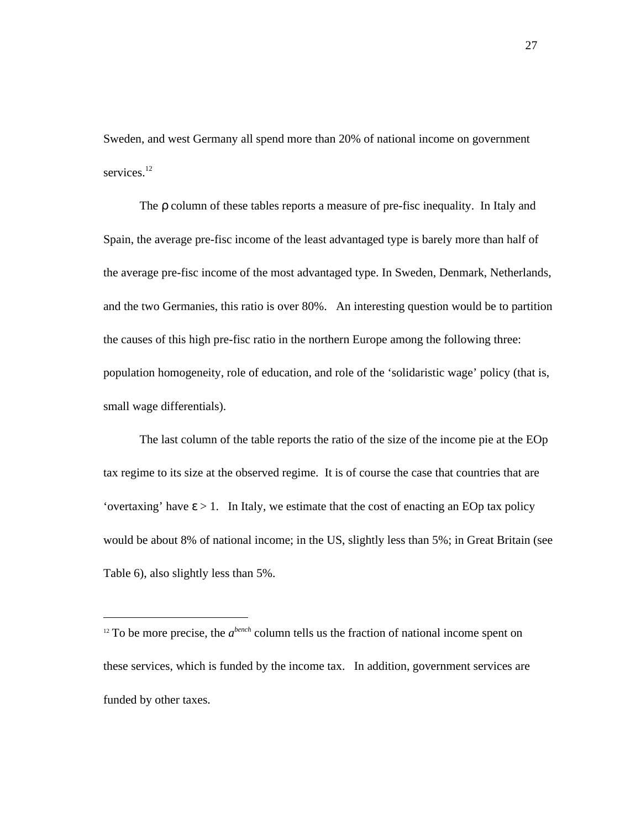Sweden, and west Germany all spend more than 20% of national income on government services.<sup>12</sup>

The column of these tables reports a measure of pre-fisc inequality. In Italy and Spain, the average pre-fisc income of the least advantaged type is barely more than half of the average pre-fisc income of the most advantaged type. In Sweden, Denmark, Netherlands, and the two Germanies, this ratio is over 80%. An interesting question would be to partition the causes of this high pre-fisc ratio in the northern Europe among the following three: population homogeneity, role of education, and role of the 'solidaristic wage' policy (that is, small wage differentials).

The last column of the table reports the ratio of the size of the income pie at the EOp tax regime to its size at the observed regime. It is of course the case that countries that are 'overtaxing' have  $> 1$ . In Italy, we estimate that the cost of enacting an EOp tax policy would be about 8% of national income; in the US, slightly less than 5%; in Great Britain (see Table 6), also slightly less than 5%.

 $12$  To be more precise, the  $a^{bench}$  column tells us the fraction of national income spent on these services, which is funded by the income tax. In addition, government services are funded by other taxes.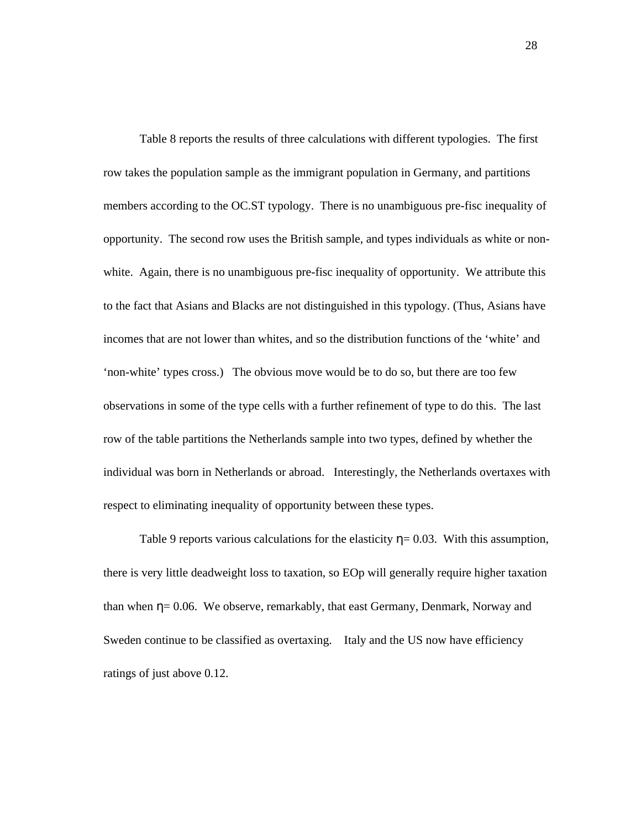Table 8 reports the results of three calculations with different typologies. The first row takes the population sample as the immigrant population in Germany, and partitions members according to the OC.ST typology. There is no unambiguous pre-fisc inequality of opportunity. The second row uses the British sample, and types individuals as white or nonwhite. Again, there is no unambiguous pre-fisc inequality of opportunity. We attribute this to the fact that Asians and Blacks are not distinguished in this typology. (Thus, Asians have incomes that are not lower than whites, and so the distribution functions of the 'white' and 'non-white' types cross.) The obvious move would be to do so, but there are too few observations in some of the type cells with a further refinement of type to do this. The last row of the table partitions the Netherlands sample into two types, defined by whether the individual was born in Netherlands or abroad. Interestingly, the Netherlands overtaxes with respect to eliminating inequality of opportunity between these types.

Table 9 reports various calculations for the elasticity  $= 0.03$ . With this assumption, there is very little deadweight loss to taxation, so EOp will generally require higher taxation than when  $= 0.06$ . We observe, remarkably, that east Germany, Denmark, Norway and Sweden continue to be classified as overtaxing. Italy and the US now have efficiency ratings of just above 0.12.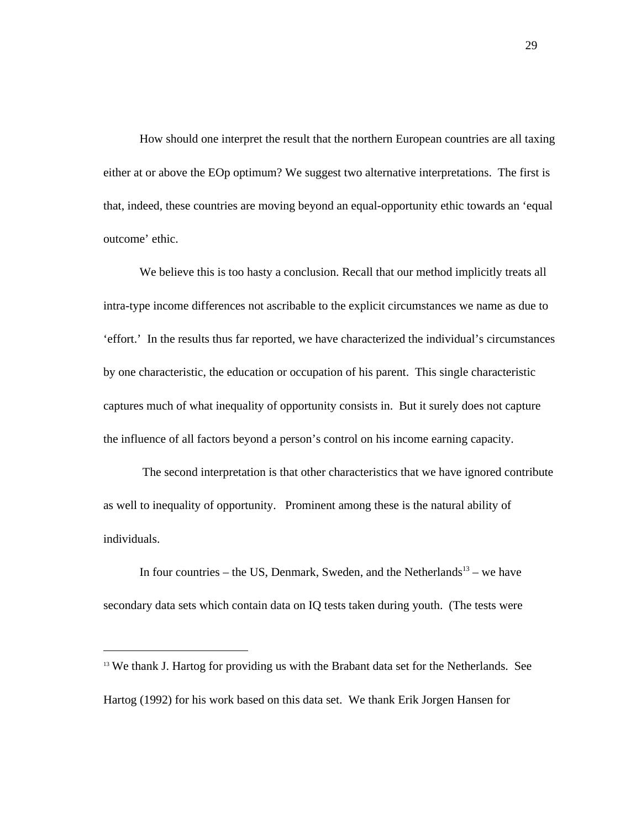How should one interpret the result that the northern European countries are all taxing either at or above the EOp optimum? We suggest two alternative interpretations. The first is that, indeed, these countries are moving beyond an equal-opportunity ethic towards an 'equal outcome' ethic.

We believe this is too hasty a conclusion. Recall that our method implicitly treats all intra-type income differences not ascribable to the explicit circumstances we name as due to 'effort.' In the results thus far reported, we have characterized the individual's circumstances by one characteristic, the education or occupation of his parent. This single characteristic captures much of what inequality of opportunity consists in. But it surely does not capture the influence of all factors beyond a person's control on his income earning capacity.

 The second interpretation is that other characteristics that we have ignored contribute as well to inequality of opportunity. Prominent among these is the natural ability of individuals.

In four countries – the US, Denmark, Sweden, and the Netherlands<sup>13</sup> – we have secondary data sets which contain data on IQ tests taken during youth. (The tests were

l

<sup>&</sup>lt;sup>13</sup> We thank J. Hartog for providing us with the Brabant data set for the Netherlands. See Hartog (1992) for his work based on this data set. We thank Erik Jorgen Hansen for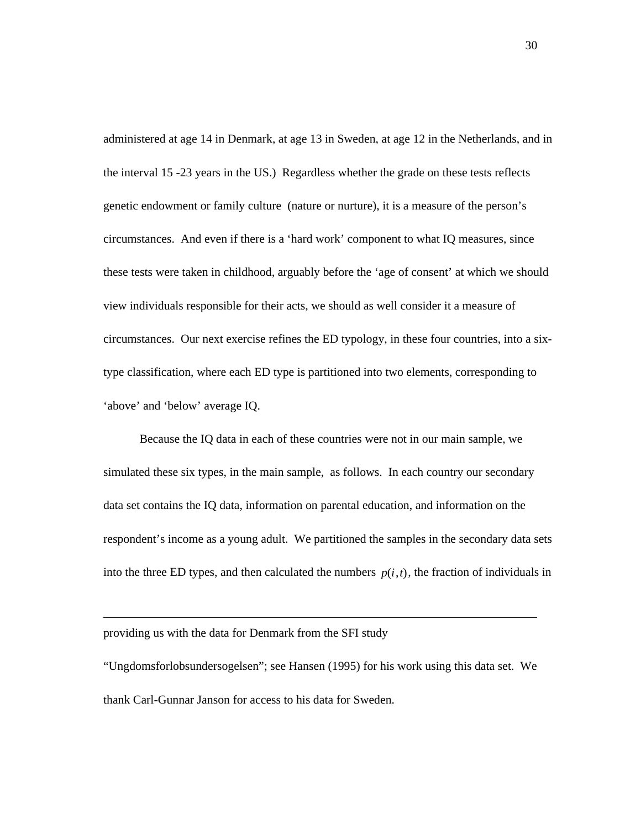administered at age 14 in Denmark, at age 13 in Sweden, at age 12 in the Netherlands, and in the interval 15 -23 years in the US.) Regardless whether the grade on these tests reflects genetic endowment or family culture (nature or nurture), it is a measure of the person's circumstances. And even if there is a 'hard work' component to what IQ measures, since these tests were taken in childhood, arguably before the 'age of consent' at which we should view individuals responsible for their acts, we should as well consider it a measure of circumstances. Our next exercise refines the ED typology, in these four countries, into a sixtype classification, where each ED type is partitioned into two elements, corresponding to 'above' and 'below' average IQ.

Because the IQ data in each of these countries were not in our main sample, we simulated these six types, in the main sample, as follows. In each country our secondary data set contains the IQ data, information on parental education, and information on the respondent's income as a young adult. We partitioned the samples in the secondary data sets into the three ED types, and then calculated the numbers  $p(i, t)$ , the fraction of individuals in

providing us with the data for Denmark from the SFI study

"Ungdomsforlobsundersogelsen"; see Hansen (1995) for his work using this data set. We thank Carl-Gunnar Janson for access to his data for Sweden.

30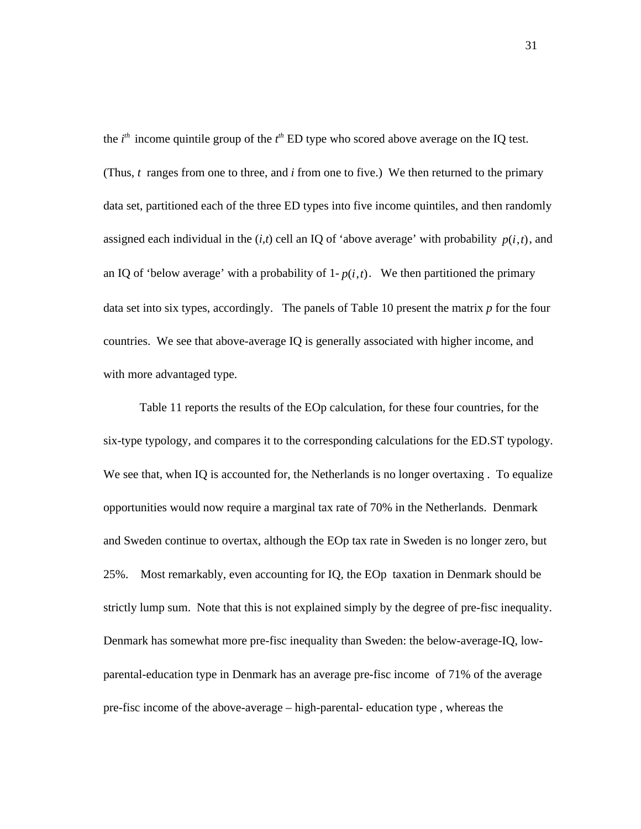the  $i<sup>th</sup>$  income quintile group of the  $t<sup>th</sup>$  ED type who scored above average on the IQ test. (Thus, *t* ranges from one to three, and *i* from one to five.) We then returned to the primary data set, partitioned each of the three ED types into five income quintiles, and then randomly assigned each individual in the  $(i, t)$  cell an IQ of 'above average' with probability  $p(i, t)$ , and an IQ of 'below average' with a probability of  $1-p(i,t)$ . We then partitioned the primary data set into six types, accordingly. The panels of Table 10 present the matrix *p* for the four countries. We see that above-average IQ is generally associated with higher income, and with more advantaged type.

Table 11 reports the results of the EOp calculation, for these four countries, for the six-type typology, and compares it to the corresponding calculations for the ED.ST typology. We see that, when IQ is accounted for, the Netherlands is no longer overtaxing. To equalize opportunities would now require a marginal tax rate of 70% in the Netherlands. Denmark and Sweden continue to overtax, although the EOp tax rate in Sweden is no longer zero, but 25%. Most remarkably, even accounting for IQ, the EOp taxation in Denmark should be strictly lump sum. Note that this is not explained simply by the degree of pre-fisc inequality. Denmark has somewhat more pre-fisc inequality than Sweden: the below-average-IQ, lowparental-education type in Denmark has an average pre-fisc income of 71% of the average pre-fisc income of the above-average – high-parental- education type , whereas the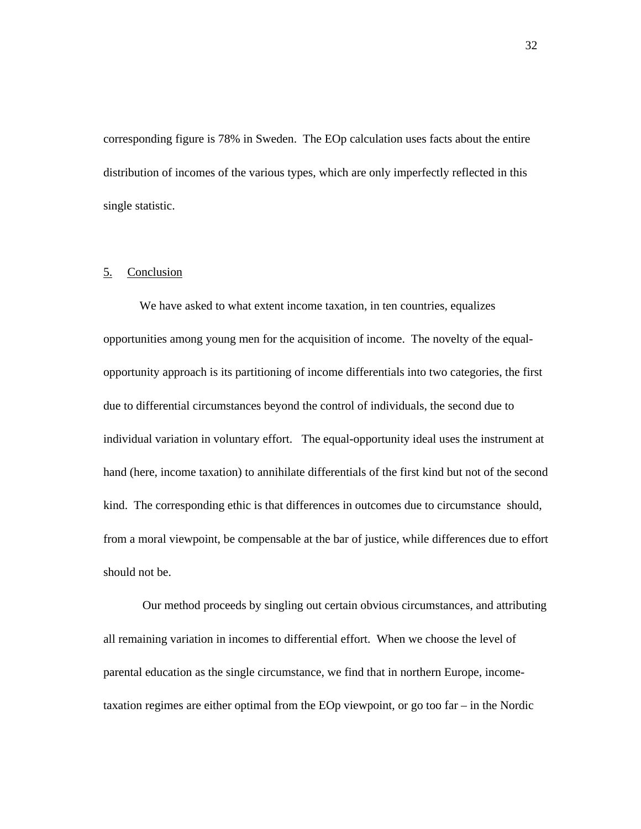corresponding figure is 78% in Sweden. The EOp calculation uses facts about the entire distribution of incomes of the various types, which are only imperfectly reflected in this single statistic.

# 5. Conclusion

We have asked to what extent income taxation, in ten countries, equalizes opportunities among young men for the acquisition of income. The novelty of the equalopportunity approach is its partitioning of income differentials into two categories, the first due to differential circumstances beyond the control of individuals, the second due to individual variation in voluntary effort. The equal-opportunity ideal uses the instrument at hand (here, income taxation) to annihilate differentials of the first kind but not of the second kind. The corresponding ethic is that differences in outcomes due to circumstance should, from a moral viewpoint, be compensable at the bar of justice, while differences due to effort should not be.

 Our method proceeds by singling out certain obvious circumstances, and attributing all remaining variation in incomes to differential effort. When we choose the level of parental education as the single circumstance, we find that in northern Europe, incometaxation regimes are either optimal from the EOp viewpoint, or go too far – in the Nordic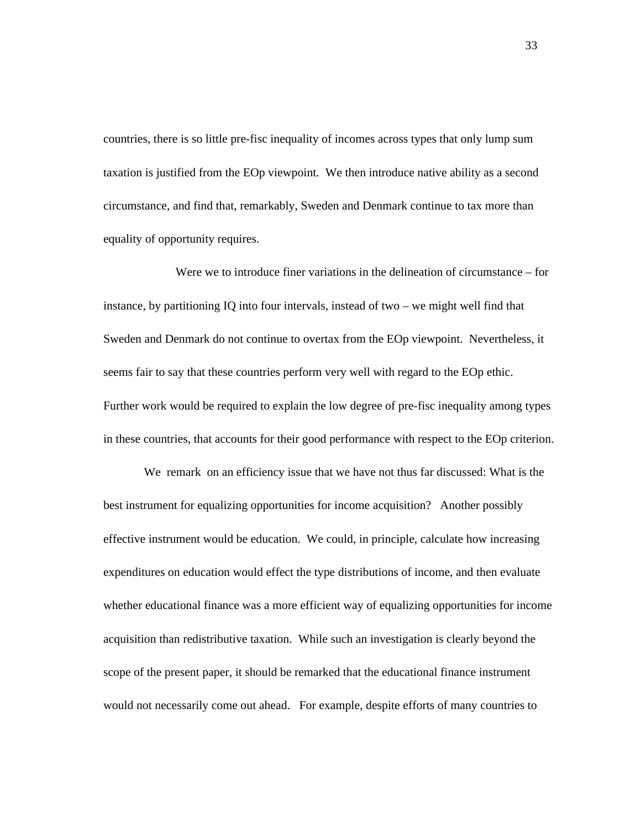countries, there is so little pre-fisc inequality of incomes across types that only lump sum taxation is justified from the EOp viewpoint. We then introduce native ability as a second circumstance, and find that, remarkably, Sweden and Denmark continue to tax more than equality of opportunity requires.

Were we to introduce finer variations in the delineation of circumstance – for instance, by partitioning IQ into four intervals, instead of two – we might well find that Sweden and Denmark do not continue to overtax from the EOp viewpoint. Nevertheless, it seems fair to say that these countries perform very well with regard to the EOp ethic. Further work would be required to explain the low degree of pre-fisc inequality among types in these countries, that accounts for their good performance with respect to the EOp criterion.

We remark on an efficiency issue that we have not thus far discussed: What is the best instrument for equalizing opportunities for income acquisition? Another possibly effective instrument would be education. We could, in principle, calculate how increasing expenditures on education would effect the type distributions of income, and then evaluate whether educational finance was a more efficient way of equalizing opportunities for income acquisition than redistributive taxation. While such an investigation is clearly beyond the scope of the present paper, it should be remarked that the educational finance instrument would not necessarily come out ahead. For example, despite efforts of many countries to

33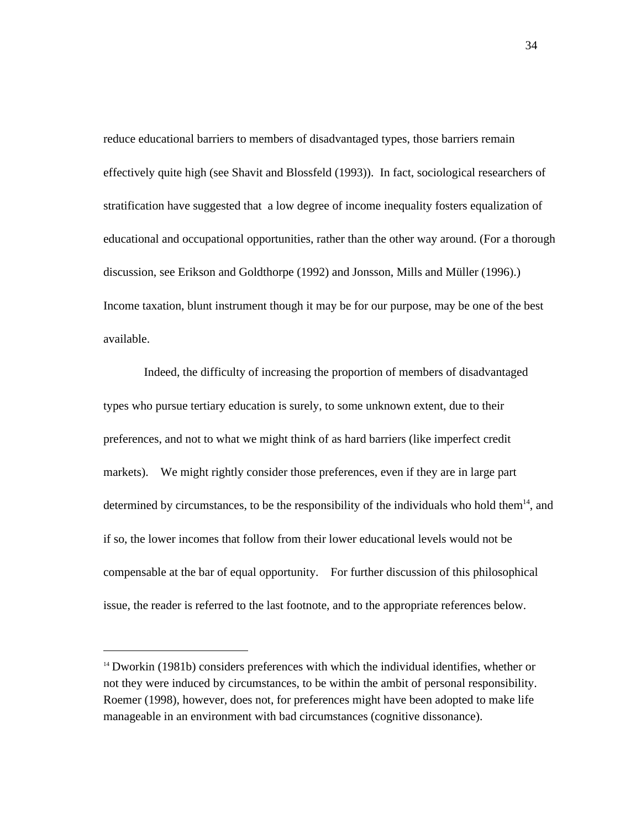reduce educational barriers to members of disadvantaged types, those barriers remain effectively quite high (see Shavit and Blossfeld (1993)). In fact, sociological researchers of stratification have suggested that a low degree of income inequality fosters equalization of educational and occupational opportunities, rather than the other way around. (For a thorough discussion, see Erikson and Goldthorpe (1992) and Jonsson, Mills and Müller (1996).) Income taxation, blunt instrument though it may be for our purpose, may be one of the best available.

Indeed, the difficulty of increasing the proportion of members of disadvantaged types who pursue tertiary education is surely, to some unknown extent, due to their preferences, and not to what we might think of as hard barriers (like imperfect credit markets). We might rightly consider those preferences, even if they are in large part determined by circumstances, to be the responsibility of the individuals who hold them<sup>14</sup>, and if so, the lower incomes that follow from their lower educational levels would not be compensable at the bar of equal opportunity. For further discussion of this philosophical issue, the reader is referred to the last footnote, and to the appropriate references below.

l

<sup>&</sup>lt;sup>14</sup> Dworkin (1981b) considers preferences with which the individual identifies, whether or not they were induced by circumstances, to be within the ambit of personal responsibility. Roemer (1998), however, does not, for preferences might have been adopted to make life manageable in an environment with bad circumstances (cognitive dissonance).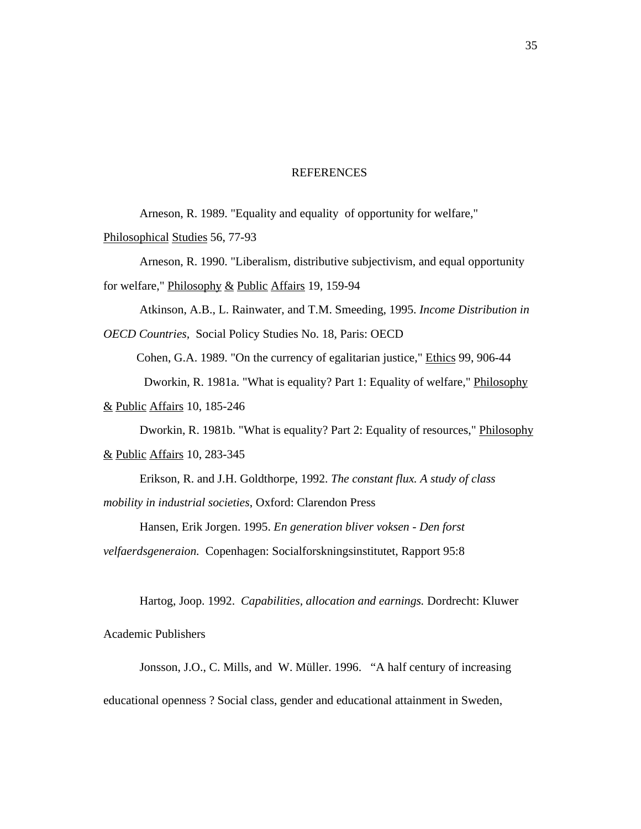## REFERENCES

Arneson, R. 1989. "Equality and equality of opportunity for welfare,"

Philosophical Studies 56, 77-93

Arneson, R. 1990. "Liberalism, distributive subjectivism, and equal opportunity for welfare," Philosophy & Public Affairs 19, 159-94

Atkinson, A.B., L. Rainwater, and T.M. Smeeding, 1995. *Income Distribution in*

*OECD Countries,* Social Policy Studies No. 18, Paris: OECD

Cohen, G.A. 1989. "On the currency of egalitarian justice," Ethics 99, 906-44

Dworkin, R. 1981a. "What is equality? Part 1: Equality of welfare," Philosophy

& Public Affairs 10, 185-246

Dworkin, R. 1981b. "What is equality? Part 2: Equality of resources," Philosophy

& Public Affairs 10, 283-345

Erikson, R. and J.H. Goldthorpe, 1992. *The constant flux. A study of class mobility in industrial societies*, Oxford: Clarendon Press

Hansen, Erik Jorgen. 1995. *En generation bliver voksen - Den forst*

*velfaerdsgeneraion.* Copenhagen: Socialforskningsinstitutet, Rapport 95:8

Hartog, Joop. 1992. *Capabilities, allocation and earnings.* Dordrecht: Kluwer

Academic Publishers

Jonsson, J.O., C. Mills, and W. Müller. 1996. "A half century of increasing

educational openness ? Social class, gender and educational attainment in Sweden,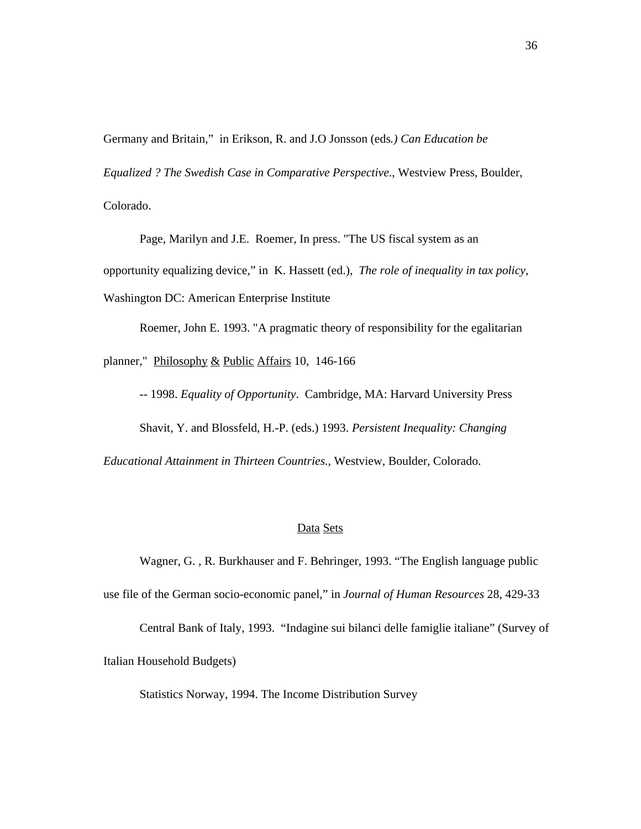Germany and Britain," in Erikson, R. and J.O Jonsson (eds*.) Can Education be*

*Equalized ? The Swedish Case in Comparative Perspective*., Westview Press, Boulder,

Colorado.

Page, Marilyn and J.E. Roemer, In press. "The US fiscal system as an

opportunity equalizing device," in K. Hassett (ed.), *The role of inequality in tax policy,*

Washington DC: American Enterprise Institute

Roemer, John E. 1993. "A pragmatic theory of responsibility for the egalitarian

planner," Philosophy & Public Affairs 10, 146-166

-- 1998. *Equality of Opportunity*. Cambridge, MA: Harvard University Press

Shavit, Y. and Blossfeld, H.-P. (eds.) 1993. *Persistent Inequality: Changing*

*Educational Attainment in Thirteen Countries.*, Westview, Boulder, Colorado.

## Data Sets

Wagner, G. , R. Burkhauser and F. Behringer, 1993. "The English language public

use file of the German socio-economic panel," in *Journal of Human Resources* 28, 429-33

Central Bank of Italy, 1993. "Indagine sui bilanci delle famiglie italiane" (Survey of

Italian Household Budgets)

Statistics Norway, 1994. The Income Distribution Survey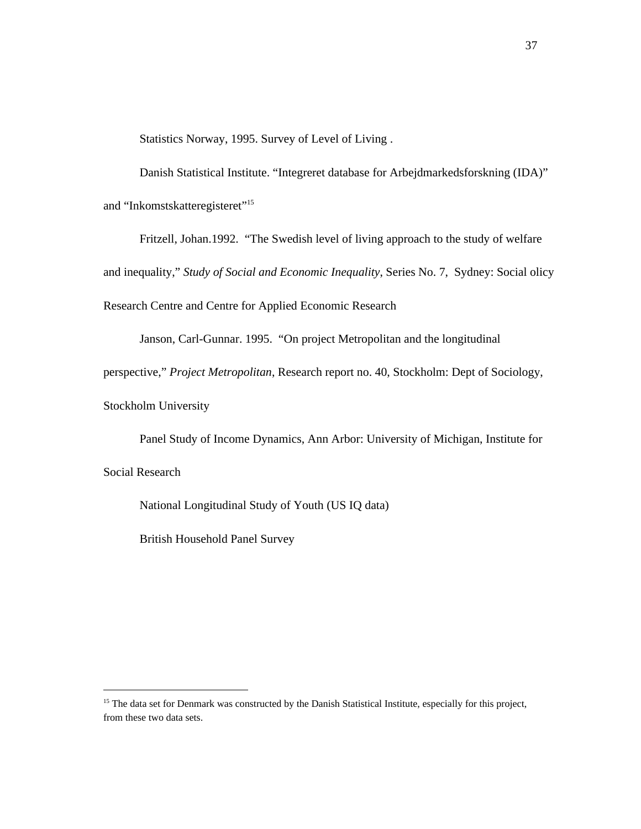Statistics Norway, 1995. Survey of Level of Living .

Danish Statistical Institute. "Integreret database for Arbejdmarkedsforskning (IDA)" and "Inkomstskatteregisteret"<sup>15</sup>

Fritzell, Johan.1992. "The Swedish level of living approach to the study of welfare

and inequality," *Study of Social and Economic Inequality*, Series No. 7, Sydney: Social olicy

Research Centre and Centre for Applied Economic Research

Janson, Carl-Gunnar. 1995. "On project Metropolitan and the longitudinal

perspective," *Project Metropolitan*, Research report no. 40, Stockholm: Dept of Sociology,

Stockholm University

Panel Study of Income Dynamics, Ann Arbor: University of Michigan, Institute for

Social Research

l

National Longitudinal Study of Youth (US IQ data)

British Household Panel Survey

<sup>&</sup>lt;sup>15</sup> The data set for Denmark was constructed by the Danish Statistical Institute, especially for this project, from these two data sets.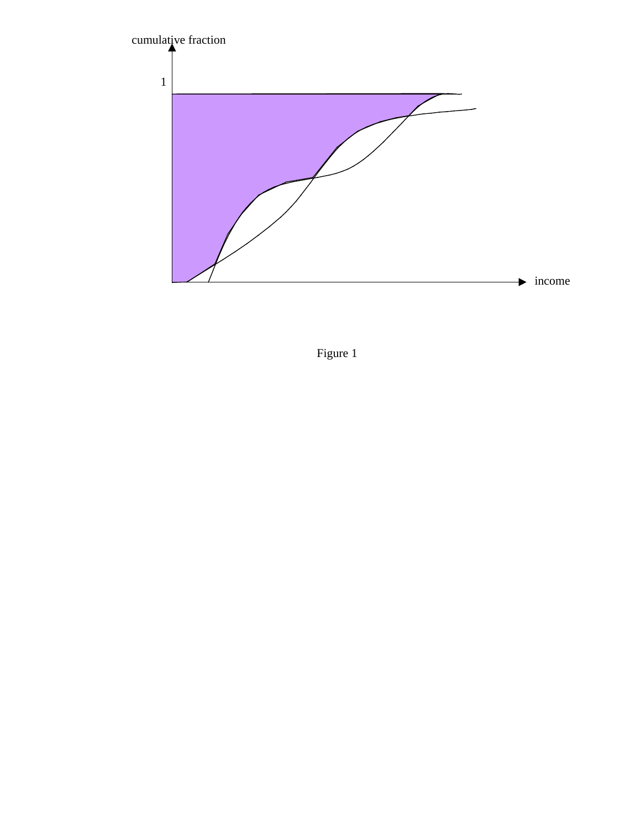

Figure 1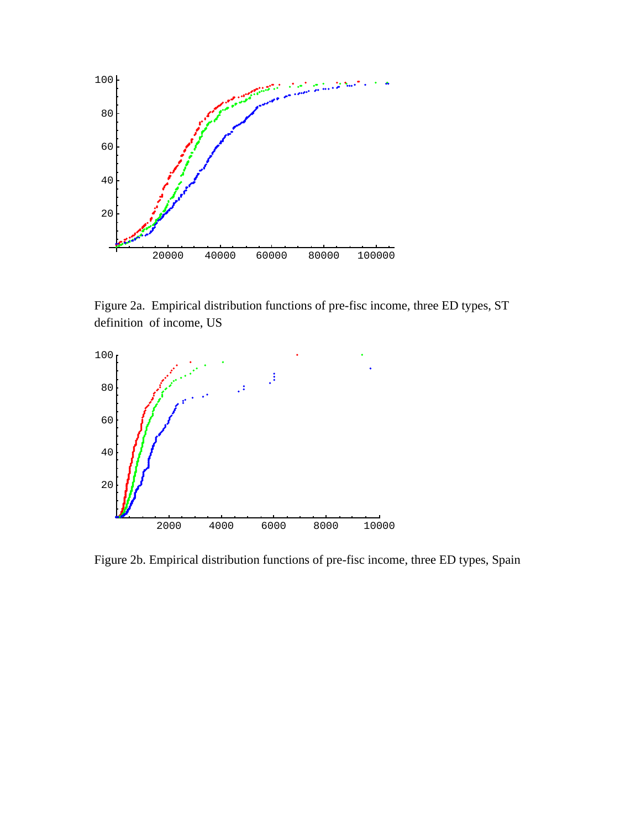

Figure 2a. Empirical distribution functions of pre-fisc income, three ED types, ST definition of income, US



Figure 2b. Empirical distribution functions of pre-fisc income, three ED types, Spain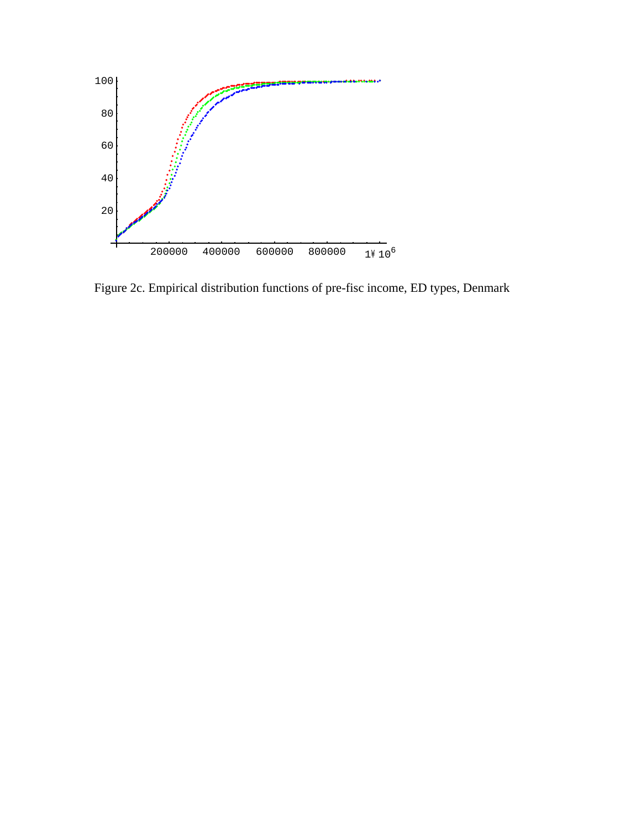

Figure 2c. Empirical distribution functions of pre-fisc income, ED types, Denmark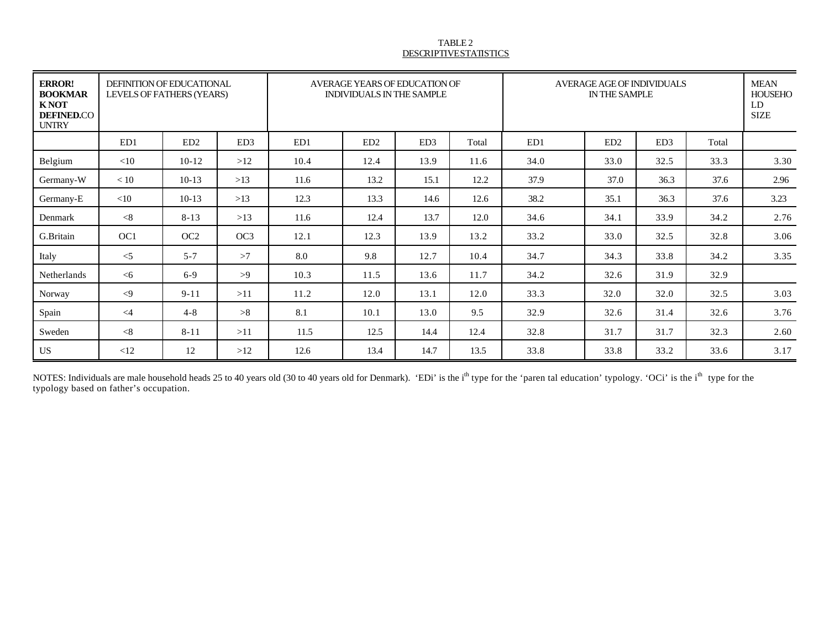#### TABLE 2 DESCRIPTIVE STATISTICS

| <b>ERROR!</b><br><b>BOOKMAR</b><br><b>KNOT</b><br><b>DEFINED.CO</b><br><b>UNTRY</b> | DEFINITION OF EDUCATIONAL<br>LEVELS OF FATHERS (YEARS) |                 |                 | AVERAGE YEARS OF EDUCATION OF<br><b>INDIVIDUALS IN THE SAMPLE</b> |      |                 |       | AVERAGE AGE OF INDIVIDUALS<br>IN THE SAMPLE |                 |                 |       | <b>MEAN</b><br><b>HOUSEHO</b><br>LD<br><b>SIZE</b> |
|-------------------------------------------------------------------------------------|--------------------------------------------------------|-----------------|-----------------|-------------------------------------------------------------------|------|-----------------|-------|---------------------------------------------|-----------------|-----------------|-------|----------------------------------------------------|
|                                                                                     | ED1                                                    | ED2             | ED <sub>3</sub> | ED1                                                               | ED2  | ED <sub>3</sub> | Total | ED1                                         | ED <sub>2</sub> | ED <sub>3</sub> | Total |                                                    |
| Belgium                                                                             | $<$ 10                                                 | $10-12$         | >12             | 10.4                                                              | 12.4 | 13.9            | 11.6  | 34.0                                        | 33.0            | 32.5            | 33.3  | 3.30                                               |
| Germany-W                                                                           | < 10                                                   | $10-13$         | >13             | 11.6                                                              | 13.2 | 15.1            | 12.2  | 37.9                                        | 37.0            | 36.3            | 37.6  | 2.96                                               |
| Germany-E                                                                           | <10                                                    | $10-13$         | >13             | 12.3                                                              | 13.3 | 14.6            | 12.6  | 38.2                                        | 35.1            | 36.3            | 37.6  | 3.23                                               |
| Denmark                                                                             | < 8                                                    | $8 - 13$        | >13             | 11.6                                                              | 12.4 | 13.7            | 12.0  | 34.6                                        | 34.1            | 33.9            | 34.2  | 2.76                                               |
| G.Britain                                                                           | OC <sub>1</sub>                                        | OC <sub>2</sub> | OC <sub>3</sub> | 12.1                                                              | 12.3 | 13.9            | 13.2  | 33.2                                        | 33.0            | 32.5            | 32.8  | 3.06                                               |
| Italy                                                                               | $\leq$                                                 | $5 - 7$         | >7              | 8.0                                                               | 9.8  | 12.7            | 10.4  | 34.7                                        | 34.3            | 33.8            | 34.2  | 3.35                                               |
| Netherlands                                                                         | $<$ 6                                                  | $6 - 9$         | >9              | 10.3                                                              | 11.5 | 13.6            | 11.7  | 34.2                                        | 32.6            | 31.9            | 32.9  |                                                    |
| Norway                                                                              | $\langle 9$                                            | $9 - 11$        | >11             | 11.2                                                              | 12.0 | 13.1            | 12.0  | 33.3                                        | 32.0            | 32.0            | 32.5  | 3.03                                               |
| Spain                                                                               | $\leq$ 4                                               | $4 - 8$         | >8              | 8.1                                                               | 10.1 | 13.0            | 9.5   | 32.9                                        | 32.6            | 31.4            | 32.6  | 3.76                                               |
| Sweden                                                                              | < 8                                                    | $8 - 11$        | >11             | 11.5                                                              | 12.5 | 14.4            | 12.4  | 32.8                                        | 31.7            | 31.7            | 32.3  | 2.60                                               |
| <b>US</b>                                                                           | <12                                                    | 12              | >12             | 12.6                                                              | 13.4 | 14.7            | 13.5  | 33.8                                        | 33.8            | 33.2            | 33.6  | 3.17                                               |

NOTES: Individuals are male household heads 25 to 40 years old (30 to 40 years old for Denmark). 'EDi' is the i<sup>th</sup> type for the 'paren tal education' typology. 'OCi' is the i<sup>th</sup> type for the typology based on father's occupation.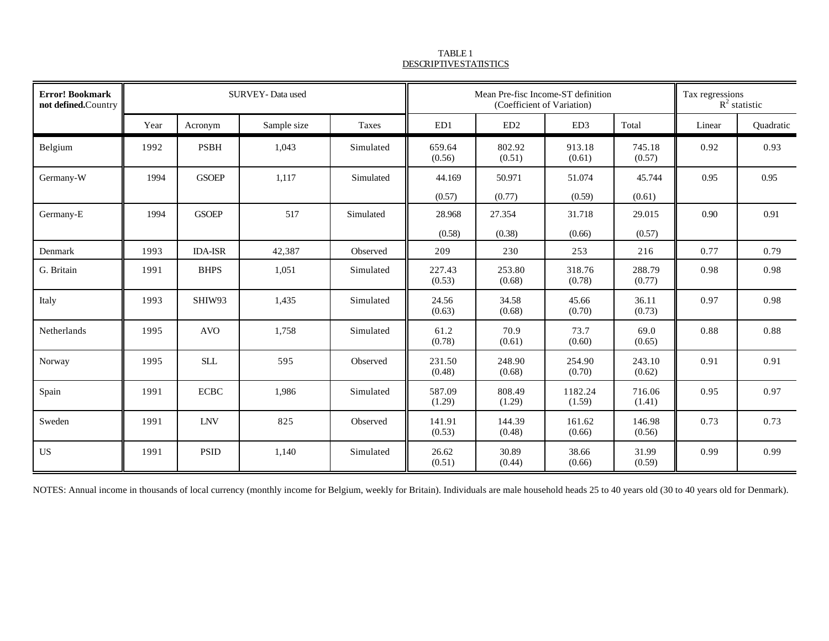| <b>Error! Bookmark</b><br>not defined.Country |      |                | SURVEY-Data used |           |                  | Mean Pre-fisc Income-ST definition<br>(Coefficient of Variation) |                   |                  | Tax regressions<br>$R^2$ statistic |           |
|-----------------------------------------------|------|----------------|------------------|-----------|------------------|------------------------------------------------------------------|-------------------|------------------|------------------------------------|-----------|
|                                               | Year | Acronym        | Sample size      | Taxes     | ED1              | ED2                                                              | ED <sub>3</sub>   | Total            | Linear                             | Quadratic |
| Belgium                                       | 1992 | <b>PSBH</b>    | 1,043            | Simulated | 659.64<br>(0.56) | 802.92<br>(0.51)                                                 | 913.18<br>(0.61)  | 745.18<br>(0.57) | 0.92                               | 0.93      |
| Germany-W                                     | 1994 | <b>GSOEP</b>   | 1,117            | Simulated | 44.169<br>(0.57) | 50.971<br>(0.77)                                                 | 51.074<br>(0.59)  | 45.744<br>(0.61) | 0.95                               | 0.95      |
| Germany-E                                     | 1994 | <b>GSOEP</b>   | 517              | Simulated | 28.968           | 27.354                                                           | 31.718            | 29.015           | 0.90                               | 0.91      |
| Denmark                                       | 1993 | <b>IDA-ISR</b> | 42,387           | Observed  | (0.58)<br>209    | (0.38)<br>230                                                    | (0.66)<br>253     | (0.57)<br>216    | 0.77                               | 0.79      |
| G. Britain                                    | 1991 | <b>BHPS</b>    | 1,051            | Simulated | 227.43<br>(0.53) | 253.80<br>(0.68)                                                 | 318.76<br>(0.78)  | 288.79<br>(0.77) | 0.98                               | 0.98      |
| Italy                                         | 1993 | SHIW93         | 1,435            | Simulated | 24.56<br>(0.63)  | 34.58<br>(0.68)                                                  | 45.66<br>(0.70)   | 36.11<br>(0.73)  | 0.97                               | 0.98      |
| Netherlands                                   | 1995 | <b>AVO</b>     | 1,758            | Simulated | 61.2<br>(0.78)   | 70.9<br>(0.61)                                                   | 73.7<br>(0.60)    | 69.0<br>(0.65)   | 0.88                               | 0.88      |
| Norway                                        | 1995 | <b>SLL</b>     | 595              | Observed  | 231.50<br>(0.48) | 248.90<br>(0.68)                                                 | 254.90<br>(0.70)  | 243.10<br>(0.62) | 0.91                               | 0.91      |
| Spain                                         | 1991 | <b>ECBC</b>    | 1,986            | Simulated | 587.09<br>(1.29) | 808.49<br>(1.29)                                                 | 1182.24<br>(1.59) | 716.06<br>(1.41) | 0.95                               | 0.97      |
| Sweden                                        | 1991 | <b>LNV</b>     | 825              | Observed  | 141.91<br>(0.53) | 144.39<br>(0.48)                                                 | 161.62<br>(0.66)  | 146.98<br>(0.56) | 0.73                               | 0.73      |
| <b>US</b>                                     | 1991 | <b>PSID</b>    | 1,140            | Simulated | 26.62<br>(0.51)  | 30.89<br>(0.44)                                                  | 38.66<br>(0.66)   | 31.99<br>(0.59)  | 0.99                               | 0.99      |

TABLE 1 DESCRIPTIVE STATISTICS

NOTES: Annual income in thousands of local currency (monthly income for Belgium, weekly for Britain). Individuals are male household heads 25 to 40 years old (30 to 40 years old for Denmark).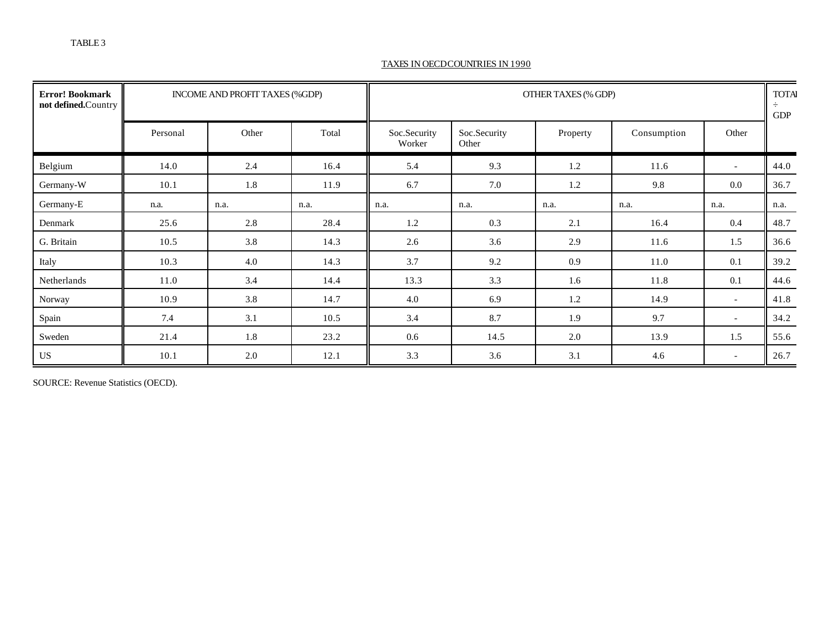#### TAXES IN OECD COUNTRIES IN 1990

| <b>Error! Bookmark</b><br>not defined.Country |          | INCOME AND PROFIT TAXES (%GDP) |       |                        |                       | OTHER TAXES (% GDP) |             |                          | <b>TOTA</b><br>÷<br>GDP |
|-----------------------------------------------|----------|--------------------------------|-------|------------------------|-----------------------|---------------------|-------------|--------------------------|-------------------------|
|                                               | Personal | Other                          | Total | Soc.Security<br>Worker | Soc.Security<br>Other | Property            | Consumption | Other                    |                         |
| Belgium                                       | 14.0     | 2.4                            | 16.4  | 5.4                    | 9.3                   | 1.2                 | 11.6        | $\sim$                   | 44.0                    |
| Germany-W                                     | 10.1     | 1.8                            | 11.9  | 6.7                    | 7.0                   | 1.2                 | 9.8         | 0.0                      | 36.7                    |
| Germany-E                                     | n.a.     | n.a.                           | n.a.  | n.a.                   | n.a.                  | n.a.                | n.a.        | n.a.                     | n.a.                    |
| Denmark                                       | 25.6     | 2.8                            | 28.4  | 1.2                    | 0.3                   | 2.1                 | 16.4        | 0.4                      | 48.7                    |
| G. Britain                                    | 10.5     | 3.8                            | 14.3  | 2.6                    | 3.6                   | 2.9                 | 11.6        | 1.5                      | 36.6                    |
| Italy                                         | 10.3     | 4.0                            | 14.3  | 3.7                    | 9.2                   | 0.9                 | 11.0        | 0.1                      | 39.2                    |
| Netherlands                                   | 11.0     | 3.4                            | 14.4  | 13.3                   | 3.3                   | 1.6                 | 11.8        | 0.1                      | 44.6                    |
| Norway                                        | 10.9     | 3.8                            | 14.7  | 4.0                    | 6.9                   | 1.2                 | 14.9        | $\overline{\phantom{a}}$ | 41.8                    |
| Spain                                         | 7.4      | 3.1                            | 10.5  | 3.4                    | 8.7                   | 1.9                 | 9.7         | $\overline{\phantom{a}}$ | 34.2                    |
| Sweden                                        | 21.4     | 1.8                            | 23.2  | 0.6                    | 14.5                  | 2.0                 | 13.9        | 1.5                      | 55.6                    |
| <b>US</b>                                     | 10.1     | 2.0                            | 12.1  | 3.3                    | 3.6                   | 3.1                 | 4.6         | $\overline{\phantom{a}}$ | 26.7                    |

SOURCE: Revenue Statistics (OECD).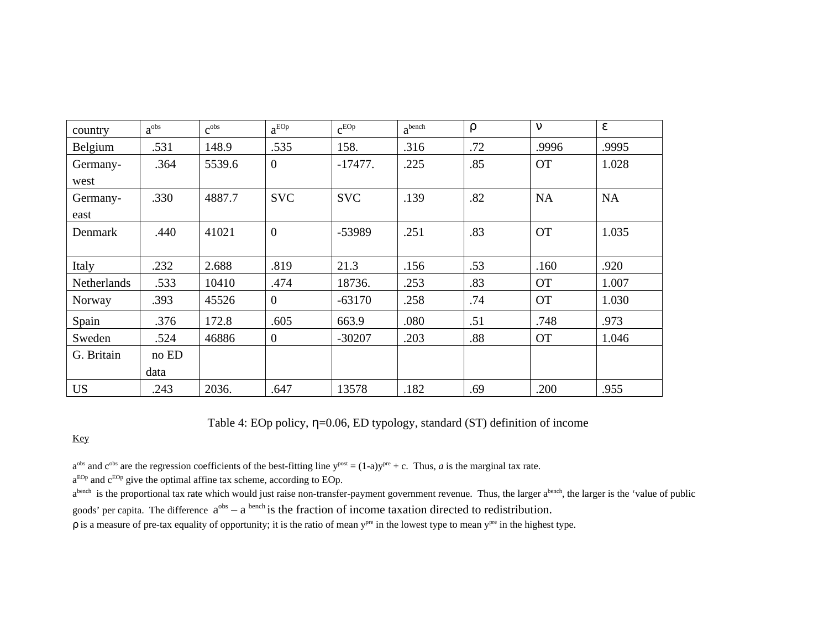| country            | $a^{obs}$ | c <sub>obs</sub> | $a^{EOp}$    | $c^{EOp}$  | a <sup>bench</sup> |     |           |           |
|--------------------|-----------|------------------|--------------|------------|--------------------|-----|-----------|-----------|
| Belgium            | .531      | 148.9            | .535         | 158.       | .316               | .72 | .9996     | .9995     |
| Germany-           | .364      | 5539.6           | $\mathbf{0}$ | $-17477.$  | .225               | .85 | <b>OT</b> | 1.028     |
| west               |           |                  |              |            |                    |     |           |           |
| Germany-           | .330      | 4887.7           | <b>SVC</b>   | <b>SVC</b> | .139               | .82 | <b>NA</b> | <b>NA</b> |
| east               |           |                  |              |            |                    |     |           |           |
| Denmark            | .440      | 41021            | $\mathbf{0}$ | -53989     | .251               | .83 | <b>OT</b> | 1.035     |
|                    |           |                  |              |            |                    |     |           |           |
| Italy              | .232      | 2.688            | .819         | 21.3       | .156               | .53 | .160      | .920      |
| <b>Netherlands</b> | .533      | 10410            | .474         | 18736.     | .253               | .83 | <b>OT</b> | 1.007     |
| Norway             | .393      | 45526            | $\mathbf{0}$ | $-63170$   | .258               | .74 | <b>OT</b> | 1.030     |
| Spain              | .376      | 172.8            | .605         | 663.9      | .080               | .51 | .748      | .973      |
| Sweden             | .524      | 46886            | $\mathbf{0}$ | $-30207$   | .203               | .88 | <b>OT</b> | 1.046     |
| G. Britain         | no ED     |                  |              |            |                    |     |           |           |
|                    | data      |                  |              |            |                    |     |           |           |
| <b>US</b>          | .243      | 2036.            | .647         | 13578      | .182               | .69 | .200      | .955      |

Table 4: EOp policy, = 0.06, ED typology, standard (ST) definition of income

Key

 $a^{obs}$  and  $c^{obs}$  are the regression coefficients of the best-fitting line  $y^{post} = (1-a)y^{pre} + c$ . Thus, *a* is the marginal tax rate.

 $a^{EOp}$  and  $c^{EOp}$  give the optimal affine tax scheme, according to EOp.

a<sup>bench</sup> is the proportional tax rate which would just raise non-transfer-payment government revenue. Thus, the larger a<sup>bench</sup>, the larger is the 'value of public goods' per capita. The difference  $a^{obs} - a^{bench}$  is the fraction of income taxation directed to redistribution.

is a measure of pre-tax equality of opportunity; it is the ratio of mean y<sup>pre</sup> in the lowest type to mean y<sup>pre</sup> in the highest type.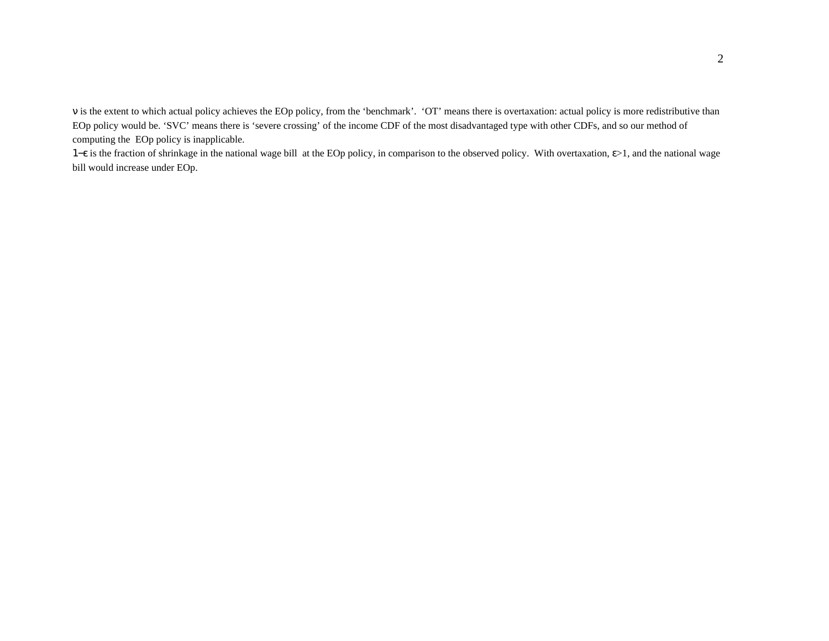is the extent to which actual policy achieves the EOp policy, from the 'benchmark'. 'OT' means there is overtaxation: actual policy is more redistributive than EOp policy would be. 'SVC' means there is 'severe crossing' of the income CDF of the most disadvantaged type with other CDFs, and so our method of computing the EOp policy is inapplicable.

1−ε is the fraction of shrinkage in the national wage bill at the EOp policy, in comparison to the observed policy. With overtaxation, >1, and the national wage bill would increase under EOp.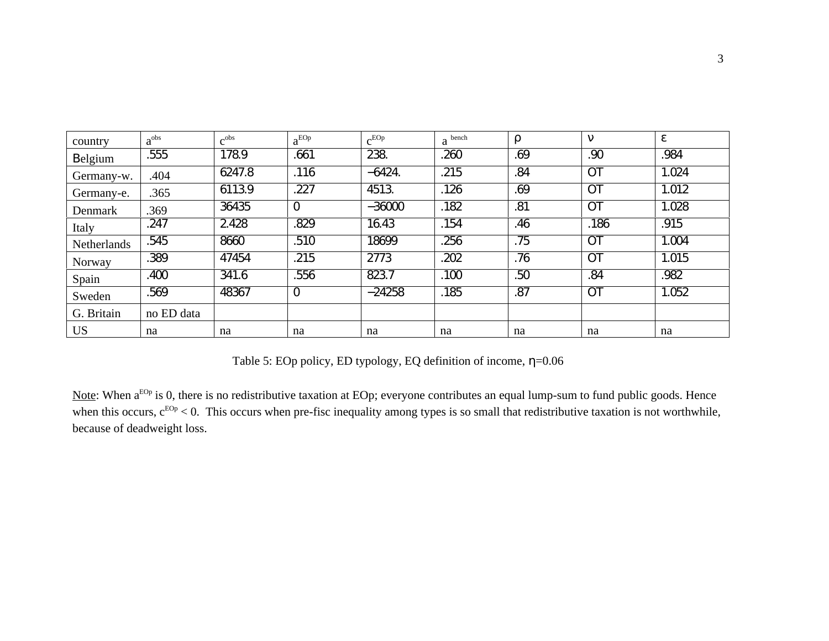| country     | $a^{obs}$  | c <sub>obs</sub> | $a^{EOp}$      | $c^{EOp}$ | $a$ bench |     |      |       |
|-------------|------------|------------------|----------------|-----------|-----------|-----|------|-------|
| elgium      | .555       | 178.9            | .661           | 238.      | .260      | .69 | .90  | .984  |
| Germany-w.  | .404       | 6247.8           | .116           | $-6424.$  | .215      | .84 |      | 1.024 |
| Germany-e.  | .365       | 6113.9           | .227           | 4513.     | .126      | .69 |      | 1.012 |
| Denmark     | .369       | 36435            | $\overline{O}$ | $-36000$  | .182      | .81 |      | 1.028 |
| Italy       | .247       | 2.428            | .829           | 16.43     | .154      | .46 | .186 | .915  |
| Netherlands | .545       | 8660             | .510           | 18699     | .256      | .75 |      | 1.004 |
| Norway      | .389       | 47454            | .215           | 2773      | .202      | .76 |      | 1.015 |
| Spain       | .400       | 341.6            | .556           | 823.7     | .100      | .50 | .84  | .982  |
| Sweden      | .569       | 48367            | $\Omega$       | $-24258$  | .185      | .87 |      | 1.052 |
| G. Britain  | no ED data |                  |                |           |           |     |      |       |
| <b>US</b>   | na         | na               | na             | na        | na        | na  | na   | na    |

Table 5: EOp policy, ED typology, EQ definition of income, =0.06

Note: When a<sup>EOp</sup> is 0, there is no redistributive taxation at EOp; everyone contributes an equal lump-sum to fund public goods. Hence when this occurs,  $c^{EOp}$  < 0. This occurs when pre-fisc inequality among types is so small that redistributive taxation is not worthwhile, because of deadweight loss.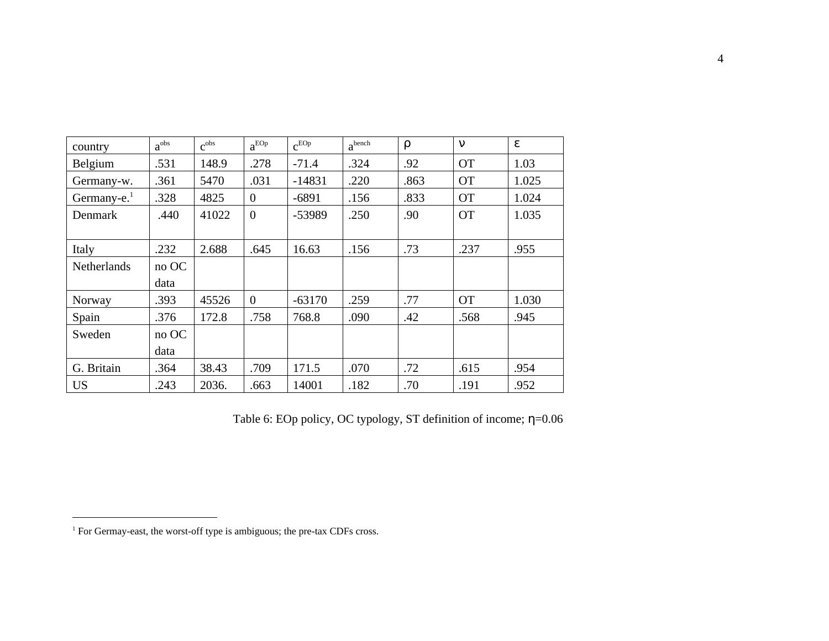| country                 | $a^{obs}$ | c <sub>obs</sub> | $a^{EOp}$      | $c^{EOp}$ | a <sup>bench</sup> |      |           |       |
|-------------------------|-----------|------------------|----------------|-----------|--------------------|------|-----------|-------|
| Belgium                 | .531      | 148.9            | .278           | $-71.4$   | .324               | .92  | <b>OT</b> | 1.03  |
| Germany-w.              | .361      | 5470             | .031           | $-14831$  | .220               | .863 | <b>OT</b> | 1.025 |
| Germany-e. <sup>1</sup> | .328      | 4825             | $\mathbf{0}$   | $-6891$   | .156               | .833 | <b>OT</b> | 1.024 |
| Denmark                 | .440      | 41022            | $\overline{0}$ | -53989    | .250               | .90  | <b>OT</b> | 1.035 |
|                         |           |                  |                |           |                    |      |           |       |
| Italy                   | .232      | 2.688            | .645           | 16.63     | .156               | .73  | .237      | .955  |
| Netherlands             | no OC     |                  |                |           |                    |      |           |       |
|                         | data      |                  |                |           |                    |      |           |       |
| Norway                  | .393      | 45526            | $\theta$       | $-63170$  | .259               | .77  | <b>OT</b> | 1.030 |
| Spain                   | .376      | 172.8            | .758           | 768.8     | .090               | .42  | .568      | .945  |
| Sweden                  | no OC     |                  |                |           |                    |      |           |       |
|                         | data      |                  |                |           |                    |      |           |       |
| G. Britain              | .364      | 38.43            | .709           | 171.5     | .070               | .72  | .615      | .954  |
| <b>US</b>               | .243      | 2036.            | .663           | 14001     | .182               | .70  | .191      | .952  |

Table 6: EOp policy, OC typology, ST definition of income; =0.06

l

<sup>&</sup>lt;sup>1</sup> For Germay-east, the worst-off type is ambiguous; the pre-tax CDFs cross.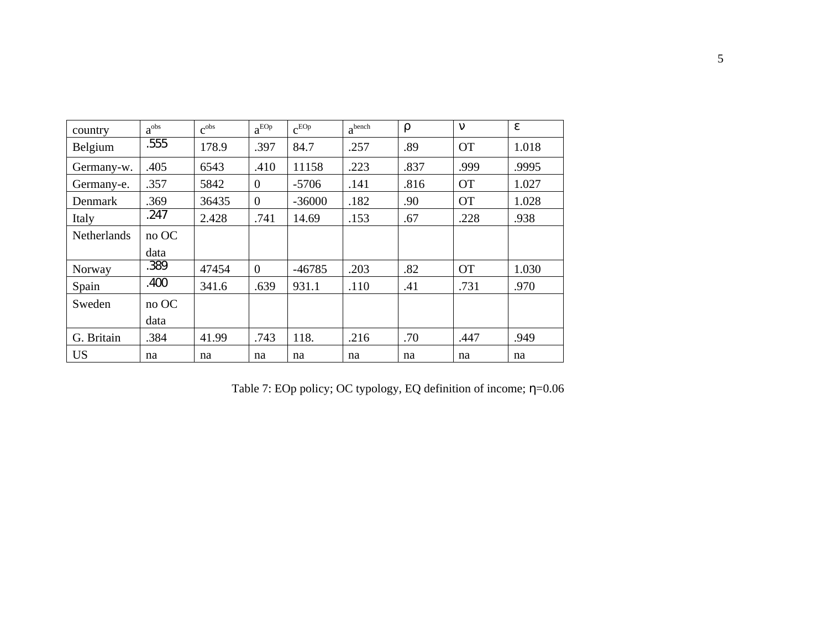| country            | $a^{obs}$ | c <sub>obs</sub> | $a^{EOp}$      | $c^{EOp}$ | a <sup>bench</sup> |      |           |       |
|--------------------|-----------|------------------|----------------|-----------|--------------------|------|-----------|-------|
| Belgium            | .555      | 178.9            | .397           | 84.7      | .257               | .89  | <b>OT</b> | 1.018 |
| Germany-w.         | .405      | 6543             | .410           | 11158     | .223               | .837 | .999      | .9995 |
| Germany-e.         | .357      | 5842             | $\theta$       | $-5706$   | .141               | .816 | <b>OT</b> | 1.027 |
| Denmark            | .369      | 36435            | $\theta$       | $-36000$  | .182               | .90  | <b>OT</b> | 1.028 |
| Italy              | .247      | 2.428            | .741           | 14.69     | .153               | .67  | .228      | .938  |
| <b>Netherlands</b> | no OC     |                  |                |           |                    |      |           |       |
|                    | data      |                  |                |           |                    |      |           |       |
| Norway             | .389      | 47454            | $\overline{0}$ | $-46785$  | .203               | .82  | <b>OT</b> | 1.030 |
| Spain              | .400      | 341.6            | .639           | 931.1     | .110               | .41  | .731      | .970  |
| Sweden             | no OC     |                  |                |           |                    |      |           |       |
|                    | data      |                  |                |           |                    |      |           |       |
| G. Britain         | .384      | 41.99            | .743           | 118.      | .216               | .70  | .447      | .949  |
| <b>US</b>          | na        | na               | na             | na        | na                 | na   | na        | na    |

Table 7: EOp policy; OC typology, EQ definition of income; =0.06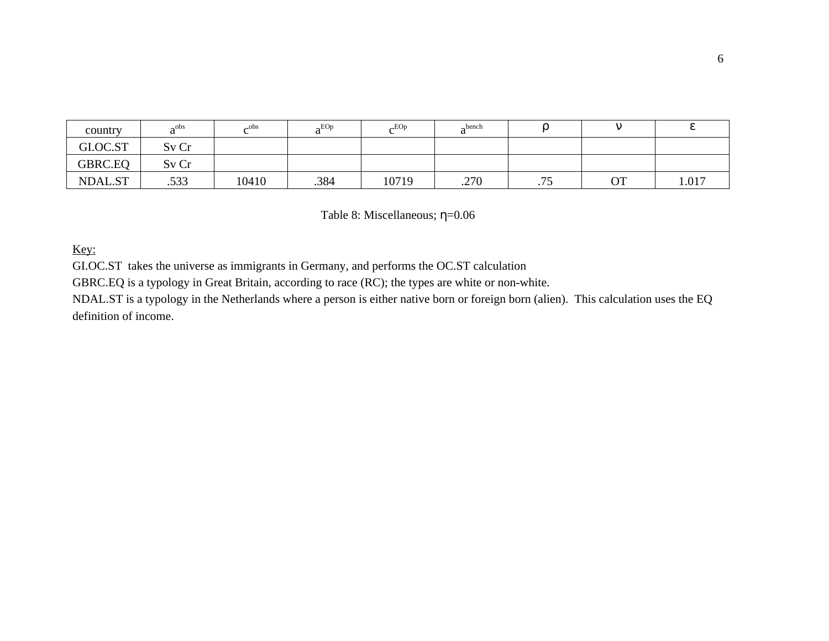| country  | a <sup>obs</sup> | $\mathcal{C}^{\rm obs}$<br>◡ | $a^{EOp}$ | $\alpha$ <sub>EOp</sub> | $\alpha$ bench<br>$\mathbf u$ |     |           |       |
|----------|------------------|------------------------------|-----------|-------------------------|-------------------------------|-----|-----------|-------|
| GI.OC.ST | Sv Cr            |                              |           |                         |                               |     |           |       |
| GBRC.EQ  | Sv Cr            |                              |           |                         |                               |     |           |       |
| NDAL.ST  | .533             | 10410                        | .384      | 10719                   | .270                          | .75 | <b>OT</b> | 1.017 |

Table 8: Miscellaneous; = 0.06

# Key:

GI.OC.ST takes the universe as immigrants in Germany, and performs the OC.ST calculation

GBRC.EQ is a typology in Great Britain, according to race (RC); the types are white or non-white.

NDAL.ST is a typology in the Netherlands where a person is either native born or foreign born (alien). This calculation uses the EQ definition of income.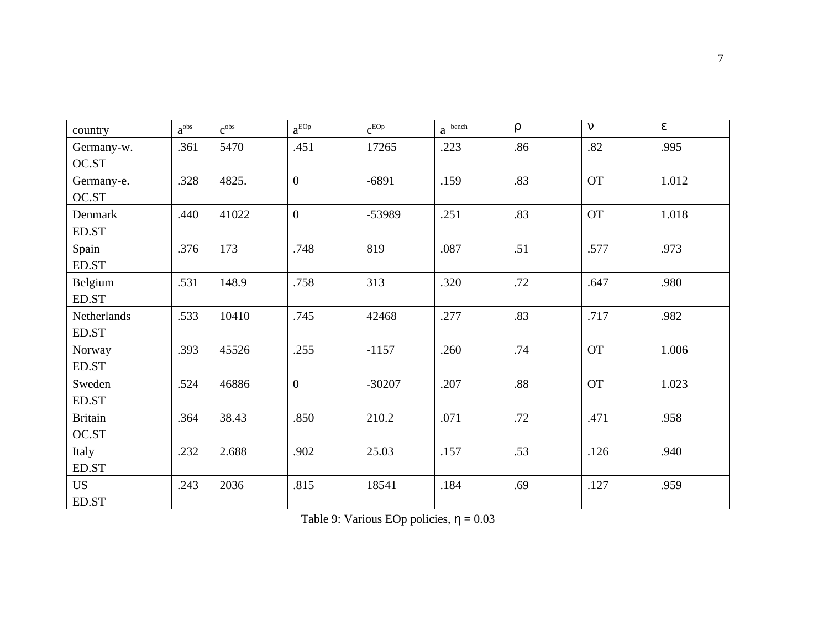| country        | $a^{obs}$ | c <sub>obs</sub> | $a^{EOp}$      | $c^{EOp}$ | $a$ bench |     |           |       |
|----------------|-----------|------------------|----------------|-----------|-----------|-----|-----------|-------|
| Germany-w.     | .361      | 5470             | .451           | 17265     | .223      | .86 | .82       | .995  |
| OC.ST          |           |                  |                |           |           |     |           |       |
| Germany-e.     | .328      | 4825.            | $\overline{0}$ | $-6891$   | .159      | .83 | <b>OT</b> | 1.012 |
| OC.ST          |           |                  |                |           |           |     |           |       |
| Denmark        | .440      | 41022            | $\overline{0}$ | -53989    | .251      | .83 | <b>OT</b> | 1.018 |
| ED.ST          |           |                  |                |           |           |     |           |       |
| Spain          | .376      | 173              | .748           | 819       | .087      | .51 | .577      | .973  |
| ED.ST          |           |                  |                |           |           |     |           |       |
| Belgium        | .531      | 148.9            | .758           | 313       | .320      | .72 | .647      | .980  |
| ED.ST          |           |                  |                |           |           |     |           |       |
| Netherlands    | .533      | 10410            | .745           | 42468     | .277      | .83 | .717      | .982  |
| ED.ST          |           |                  |                |           |           |     |           |       |
| Norway         | .393      | 45526            | .255           | $-1157$   | .260      | .74 | <b>OT</b> | 1.006 |
| ED.ST          |           |                  |                |           |           |     |           |       |
| Sweden         | .524      | 46886            | $\overline{0}$ | $-30207$  | .207      | .88 | <b>OT</b> | 1.023 |
| ED.ST          |           |                  |                |           |           |     |           |       |
| <b>Britain</b> | .364      | 38.43            | .850           | 210.2     | .071      | .72 | .471      | .958  |
| OC.ST          |           |                  |                |           |           |     |           |       |
| Italy          | .232      | 2.688            | .902           | 25.03     | .157      | .53 | .126      | .940  |
| ED.ST          |           |                  |                |           |           |     |           |       |
| <b>US</b>      | .243      | 2036             | .815           | 18541     | .184      | .69 | .127      | .959  |
| ED.ST          |           |                  |                |           |           |     |           |       |

Table 9: Various EOp policies,  $= 0.03$ 

7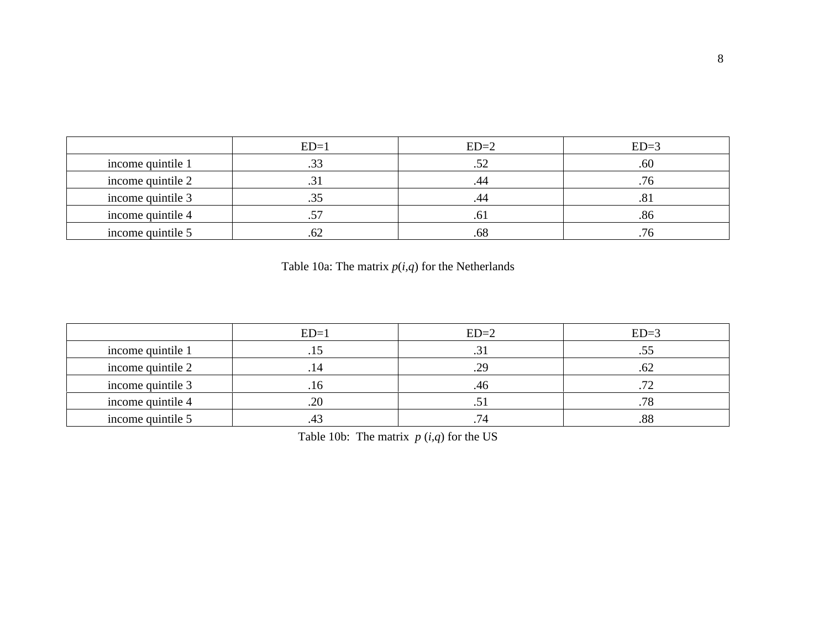|                   | $ED=1$ | $ED=2$ | $ED=3$ |
|-------------------|--------|--------|--------|
| income quintile 1 | .33    | ے ب    | .60    |
| income quintile 2 |        |        | .76    |
| income quintile 3 | .33    | .44    | .8.    |
| income quintile 4 | .57    | .01    | .86    |
| income quintile 5 | .OZ    | .68    | 76     |

Table 10a: The matrix  $p(i,q)$  for the Netherlands

|                   | $ED=1$ | $ED=2$ | $ED=3$        |
|-------------------|--------|--------|---------------|
| income quintile 1 | ل 1 .  | ر.,    |               |
| income quintile 2 | . 14   | .29    |               |
| income quintile 3 | .16    | .46    | $\mathcal{L}$ |
| income quintile 4 | .20    | ر.,    | .78           |
| income quintile 5 |        |        | .88           |

Table 10b: The matrix  $p(i,q)$  for the US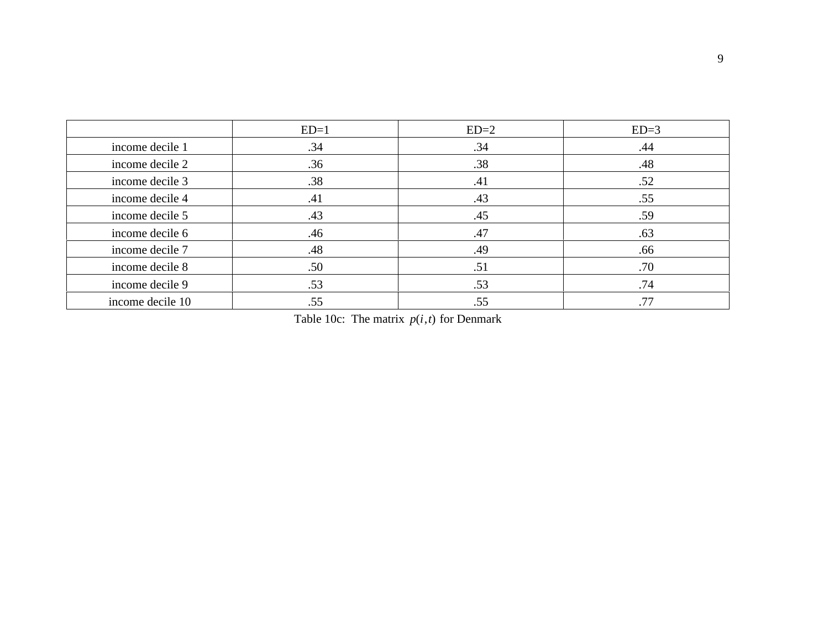|                  | $ED=1$ | $ED=2$ | $ED=3$ |
|------------------|--------|--------|--------|
| income decile 1  | .34    | .34    | .44    |
| income decile 2  | .36    | .38    | .48    |
| income decile 3  | .38    | .41    | .52    |
| income decile 4  | .41    | .43    | .55    |
| income decile 5  | .43    | .45    | .59    |
| income decile 6  | .46    | .47    | .63    |
| income decile 7  | .48    | .49    | .66    |
| income decile 8  | .50    | .51    | .70    |
| income decile 9  | .53    | .53    | .74    |
| income decile 10 | .55    | .55    | .77    |

Table 10c: The matrix  $p(i, t)$  for Denmark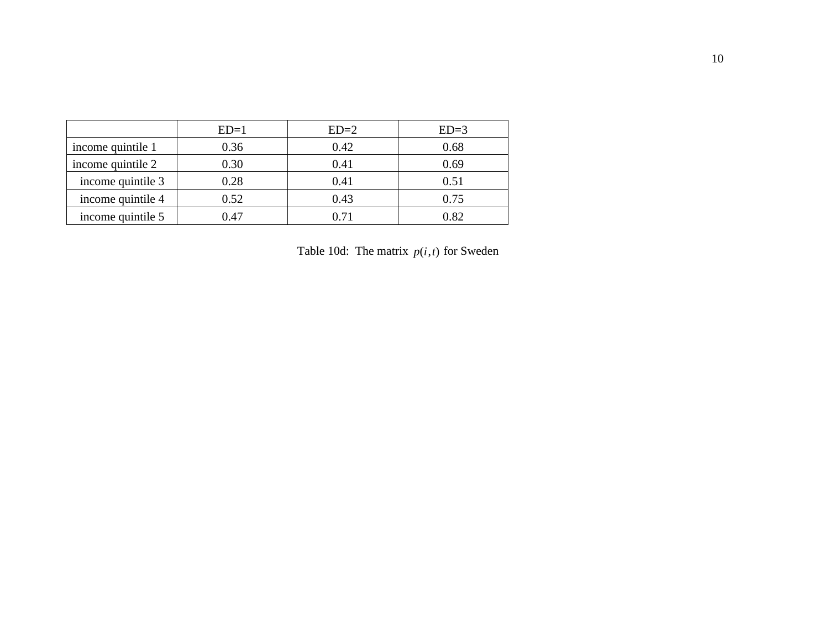|                   | $ED=1$ | $ED=2$ | $ED=3$ |
|-------------------|--------|--------|--------|
| income quintile 1 | 0.36   | 0.42   | 0.68   |
| income quintile 2 | 0.30   | 0.41   | 0.69   |
| income quintile 3 | 0.28   | 0.41   | 0.51   |
| income quintile 4 | 0.52   | 0.43   | 0.75   |
| income quintile 5 | 0.47   | O 71   | 0.82   |

Table 10d: The matrix  $p(i, t)$  for Sweden